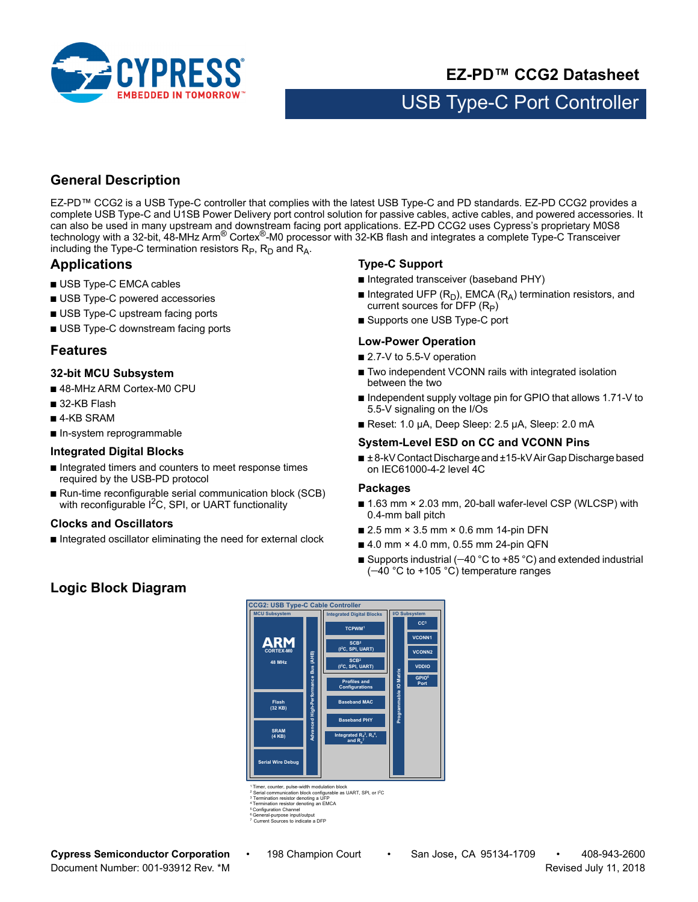

# **EZ-PD™ CCG2 Datasheet**

# USB Type-C Port Controller

# **General Description**

EZ-PD™ CCG2 is a USB Type-C controller that complies with the latest USB Type-C and PD standards. EZ-PD CCG2 provides a complete USB Type-C and U1SB Power Delivery port control solution for passive cables, active cables, and powered accessories. It can also be used in many upstream and downstream facing port applications. EZ-PD CCG2 uses Cypress's proprietary M0S8 technology with a 32-bit, 48-MHz Arm® Cortex®-M0 processor with 32-KB flash and integrates a complete Type-C Transceiver including the Type-C termination resistors  $R_P$ ,  $R_D$  and  $R_A$ .

# **Applications**

- USB Type-C EMCA cables
- USB Type-C powered accessories
- USB Type-C upstream facing ports
- USB Type-C downstream facing ports

### <span id="page-0-0"></span>**Features**

#### **32-bit MCU Subsystem**

- 48-MHz ARM Cortex-M0 CPU
- 32-KB Flash
- 4-KB SRAM
- In-system reprogrammable

#### **Integrated Digital Blocks**

- Integrated timers and counters to meet response times required by the USB-PD protocol
- Run-time reconfigurable serial communication block (SCB) with reconfigurable  $I^2C$ , SPI, or UART functionality

#### **Clocks and Oscillators**

■ Integrated oscillator eliminating the need for external clock

#### **Type-C Support**

- Integrated transceiver (baseband PHY)
- Integrated UFP ( $R_D$ ), EMCA ( $R_A$ ) termination resistors, and current sources for DFP  $(R_P)$
- Supports one USB Type-C port

#### **Low-Power Operation**

- 2.7-V to 5.5-V operation
- Two independent VCONN rails with integrated isolation between the two
- Independent supply voltage pin for GPIO that allows 1.71-V to 5.5-V signaling on the I/Os
- Reset: 1.0 µA, Deep Sleep: 2.5 µA, Sleep: 2.0 mA

#### **System-Level ESD on CC and VCONN Pins**

■ ± 8-kV Contact Discharge and ±15-kV Air Gap Discharge based on IEC61000-4-2 level 4C

#### **Packages**

- 1.63 mm × 2.03 mm, 20-ball wafer-level CSP (WLCSP) with 0.4-mm ball pitch
- 2.5 mm × 3.5 mm × 0.6 mm 14-pin DFN
- 4.0 mm × 4.0 mm, 0.55 mm 24-pin QFN
- Supports industrial  $(-40 °C)$  to +85 °C) and extended industrial  $(-40 °C)$  to +105 °C) temperature ranges

# **Logic Block Diagram**



t<br>Timer, counter, pulse-width modulation block<br>Contal communication block configurable as alse-width modulation block<br>ation block configurable as UART, SPI, or I<sup>2</sup>C

<sup>3</sup> Termination resistor denoting a UFP<br><sup>4</sup> Termination resistor denoting an EMCA

Configuration Channel

6 General-purpose input/output 7 Current Sources to indicate a DFP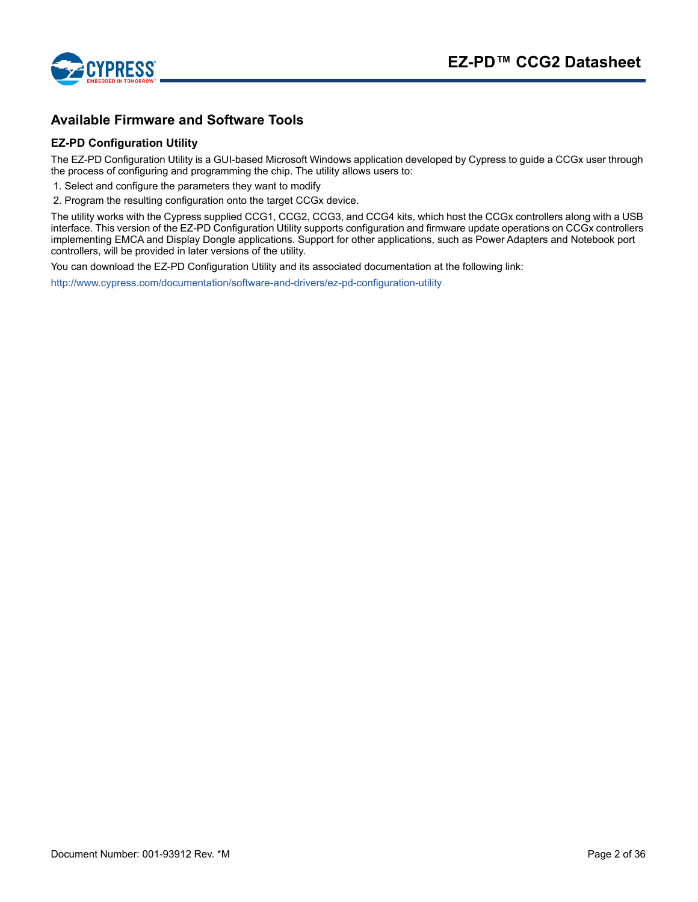



# <span id="page-1-0"></span>**Available Firmware and Software Tools**

#### **EZ-PD Configuration Utility**

The EZ-PD Configuration Utility is a GUI-based Microsoft Windows application developed by Cypress to guide a CCGx user through the process of configuring and programming the chip. The utility allows users to:

1. Select and configure the parameters they want to modify

2. Program the resulting configuration onto the target CCGx device.

The utility works with the Cypress supplied CCG1, CCG2, CCG3, and CCG4 kits, which host the CCGx controllers along with a USB interface. This version of the EZ-PD Configuration Utility supports configuration and firmware update operations on CCGx controllers implementing EMCA and Display Dongle applications. Support for other applications, such as Power Adapters and Notebook port controllers, will be provided in later versions of the utility.

You can download the EZ-PD Configuration Utility and its associated documentation at the following link:

<http://www.cypress.com/documentation/software-and-drivers/ez-pd-configuration-utility>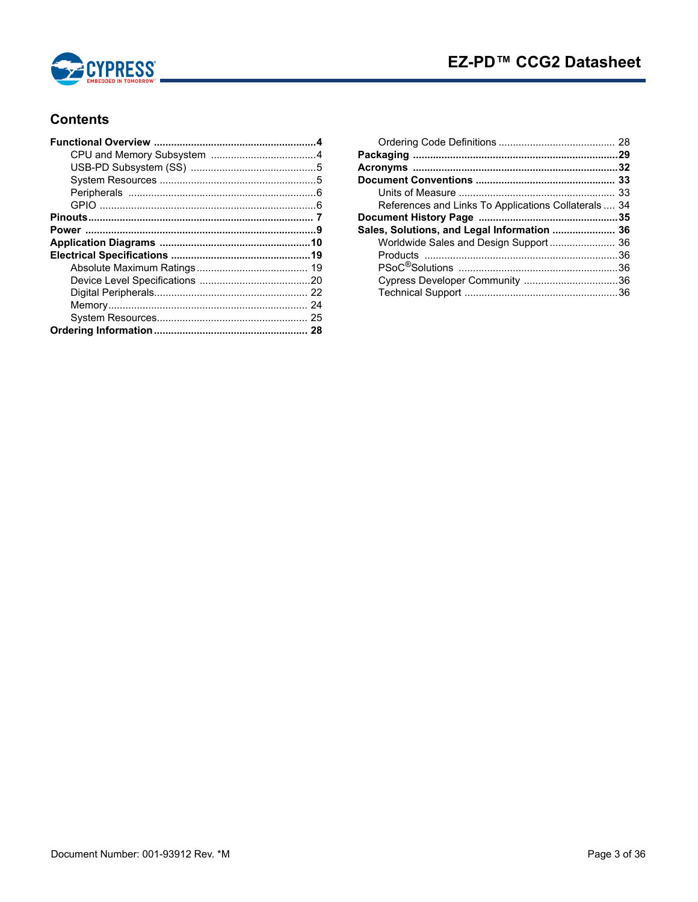

# **Contents**

| References and Links To Applications Collaterals  34 |  |
|------------------------------------------------------|--|
|                                                      |  |
| Sales, Solutions, and Legal Information  36          |  |
| Worldwide Sales and Design Support 36                |  |
|                                                      |  |
|                                                      |  |
|                                                      |  |
|                                                      |  |
|                                                      |  |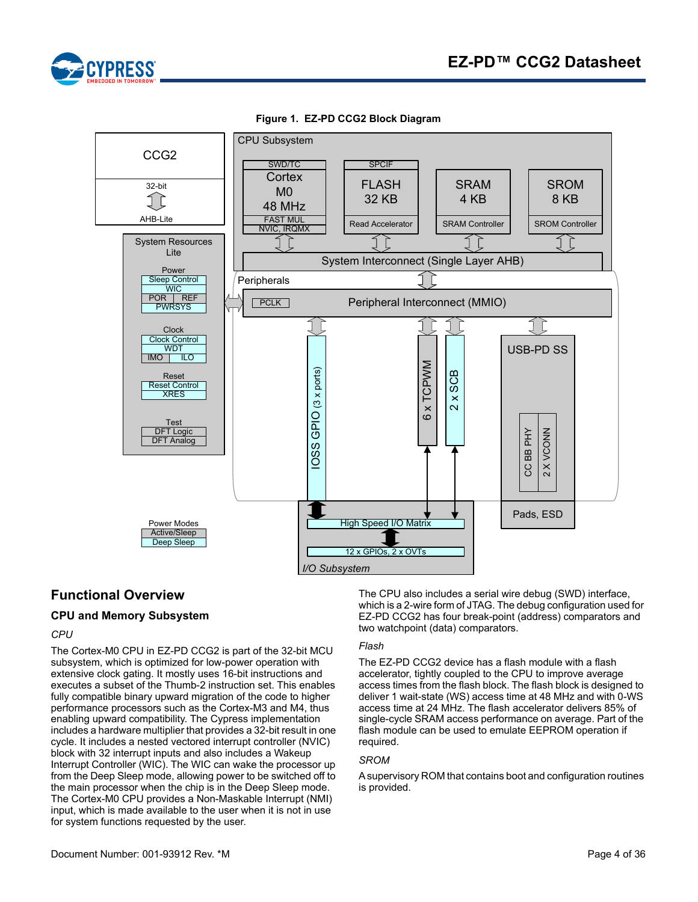



**Figure 1. EZ-PD CCG2 Block Diagram**

# **Functional Overview**

### <span id="page-3-0"></span>**CPU and Memory Subsystem**

#### *CPU*

The Cortex-M0 CPU in EZ-PD CCG2 is part of the 32-bit MCU subsystem, which is optimized for low-power operation with extensive clock gating. It mostly uses 16-bit instructions and executes a subset of the Thumb-2 instruction set. This enables fully compatible binary upward migration of the code to higher performance processors such as the Cortex-M3 and M4, thus enabling upward compatibility. The Cypress implementation includes a hardware multiplier that provides a 32-bit result in one cycle. It includes a nested vectored interrupt controller (NVIC) block with 32 interrupt inputs and also includes a Wakeup Interrupt Controller (WIC). The WIC can wake the processor up from the Deep Sleep mode, allowing power to be switched off to the main processor when the chip is in the Deep Sleep mode. The Cortex-M0 CPU provides a Non-Maskable Interrupt (NMI) input, which is made available to the user when it is not in use for system functions requested by the user.

The CPU also includes a serial wire debug (SWD) interface, which is a 2-wire form of JTAG. The debug configuration used for EZ-PD CCG2 has four break-point (address) comparators and two watchpoint (data) comparators.

#### *Flash*

The EZ-PD CCG2 device has a flash module with a flash accelerator, tightly coupled to the CPU to improve average access times from the flash block. The flash block is designed to deliver 1 wait-state (WS) access time at 48 MHz and with 0-WS access time at 24 MHz. The flash accelerator delivers 85% of single-cycle SRAM access performance on average. Part of the flash module can be used to emulate EEPROM operation if required.

#### *SROM*

A supervisory ROM that contains boot and configuration routines is provided.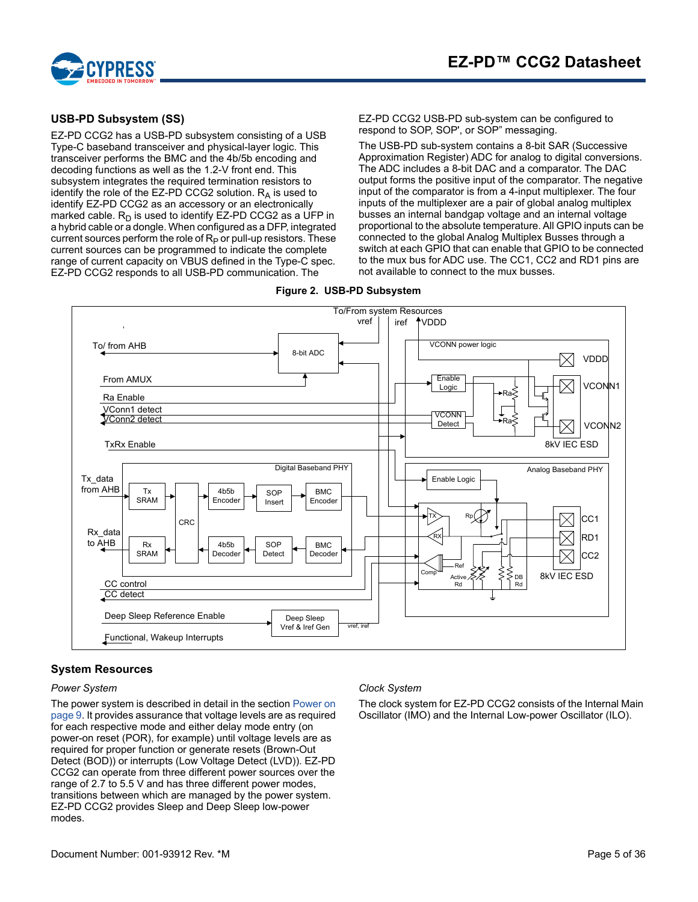



#### <span id="page-4-0"></span>**USB-PD Subsystem (SS)**

EZ-PD CCG2 has a USB-PD subsystem consisting of a USB Type-C baseband transceiver and physical-layer logic. This transceiver performs the BMC and the 4b/5b encoding and decoding functions as well as the 1.2-V front end. This subsystem integrates the required termination resistors to identify the role of the EZ-PD CCG2 solution.  $R_A$  is used to identify EZ-PD CCG2 as an accessory or an electronically marked cable.  $R_D$  is used to identify EZ-PD CCG2 as a UFP in a hybrid cable or a dongle. When configured as a DFP, integrated current sources perform the role of  $R_P$  or pull-up resistors. These current sources can be programmed to indicate the complete range of current capacity on VBUS defined in the Type-C spec. EZ-PD CCG2 responds to all USB-PD communication. The

EZ-PD CCG2 USB-PD sub-system can be configured to respond to SOP, SOP', or SOP" messaging.

The USB-PD sub-system contains a 8-bit SAR (Successive Approximation Register) ADC for analog to digital conversions. The ADC includes a 8-bit DAC and a comparator. The DAC output forms the positive input of the comparator. The negative input of the comparator is from a 4-input multiplexer. The four inputs of the multiplexer are a pair of global analog multiplex busses an internal bandgap voltage and an internal voltage proportional to the absolute temperature. All GPIO inputs can be connected to the global Analog Multiplex Busses through a switch at each GPIO that can enable that GPIO to be connected to the mux bus for ADC use. The CC1, CC2 and RD1 pins are not available to connect to the mux busses.

#### **Figure 2. USB-PD Subsystem**



#### <span id="page-4-1"></span>**System Resources**

#### *Power System*

The power system is described in detail in the section Power on [page 9.](#page-8-0) It provides assurance that voltage levels are as required for each respective mode and either delay mode entry (on power-on reset (POR), for example) until voltage levels are as required for proper function or generate resets (Brown-Out Detect (BOD)) or interrupts (Low Voltage Detect (LVD)). EZ-PD CCG2 can operate from three different power sources over the range of 2.7 to 5.5 V and has three different power modes, transitions between which are managed by the power system. EZ-PD CCG2 provides Sleep and Deep Sleep low-power modes.

#### *Clock System*

The clock system for EZ-PD CCG2 consists of the Internal Main Oscillator (IMO) and the Internal Low-power Oscillator (ILO).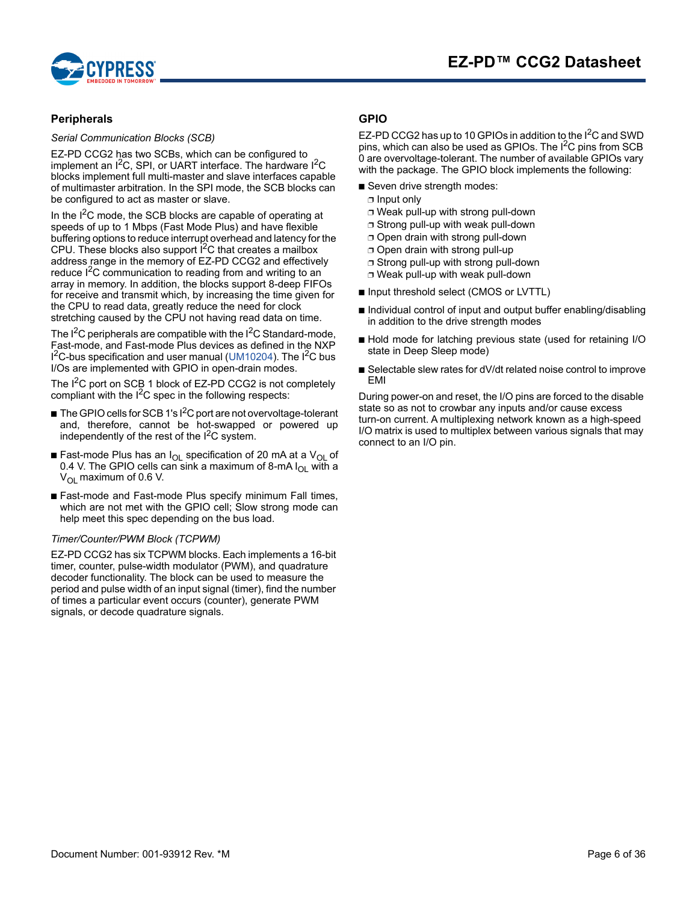

#### <span id="page-5-0"></span>**Peripherals**

*Serial Communication Blocks (SCB)*

EZ-PD CCG2 has two SCBs, which can be configured to implement an I<sup>2</sup>C, SPI, or UART interface. The hardware I<sup>2</sup>C blocks implement full multi-master and slave interfaces capable of multimaster arbitration. In the SPI mode, the SCB blocks can be configured to act as master or slave.

In the I<sup>2</sup>C mode, the SCB blocks are capable of operating at speeds of up to 1 Mbps (Fast Mode Plus) and have flexible buffering options to reduce interrupt overhead and latency for the CPU. These blocks also support  $1^2C$  that creates a mailbox address range in the memory of EZ-PD CCG2 and effectively reduce I<sup>2</sup>C communication to reading from and writing to an array in memory. In addition, the blocks support 8-deep FIFOs for receive and transmit which, by increasing the time given for the CPU to read data, greatly reduce the need for clock stretching caused by the CPU not having read data on time.

The  $I^2C$  peripherals are compatible with the  $I^2C$  Standard-mode, Fast-mode, and Fast-mode Plus devices as defined in the NXP  $1^2$ C-bus specification and user manual ([UM10204\)](http://www.nxp.com/documents/user_manual/UM10204.pdf). The  $1^2$ C bus I/Os are implemented with GPIO in open-drain modes.

The I<sup>2</sup>C port on SCB 1 block of EZ-PD CCG2 is not completely compliant with the  $I^2C$  spec in the following respects:

- $\blacksquare$  The GPIO cells for SCB 1's I<sup>2</sup>C port are not overvoltage-tolerant and, therefore, cannot be hot-swapped or powered up independently of the rest of the  $I^2C$  system.
- Fast-mode Plus has an I<sub>OL</sub> specification of 20 mA at a V<sub>OL</sub> of 0.4 V. The GPIO cells can sink a maximum of 8-mA  $I_{OL}$  with a V<sub>OL</sub> maximum of 0.6 V.
- Fast-mode and Fast-mode Plus specify minimum Fall times, which are not met with the GPIO cell; Slow strong mode can help meet this spec depending on the bus load.

#### *Timer/Counter/PWM Block (TCPWM)*

EZ-PD CCG2 has six TCPWM blocks. Each implements a 16-bit timer, counter, pulse-width modulator (PWM), and quadrature decoder functionality. The block can be used to measure the period and pulse width of an input signal (timer), find the number of times a particular event occurs (counter), generate PWM signals, or decode quadrature signals.

#### <span id="page-5-1"></span>**GPIO**

EZ-PD CCG2 has up to 10 GPIOs in addition to the I<sup>2</sup>C and SWD pins, which can also be used as GPIOs. The I<sup>2</sup>C pins from SCB 0 are overvoltage-tolerant. The number of available GPIOs vary with the package. The GPIO block implements the following:

- Seven drive strength modes:
- ❐ Input only
- ❐ Weak pull-up with strong pull-down
- ❐ Strong pull-up with weak pull-down
- ❐ Open drain with strong pull-down
- ❐ Open drain with strong pull-up
- ❐ Strong pull-up with strong pull-down
- ❐ Weak pull-up with weak pull-down
- Input threshold select (CMOS or LVTTL)
- Individual control of input and output buffer enabling/disabling in addition to the drive strength modes
- Hold mode for latching previous state (used for retaining I/O state in Deep Sleep mode)
- Selectable slew rates for dV/dt related noise control to improve EMI

During power-on and reset, the I/O pins are forced to the disable state so as not to crowbar any inputs and/or cause excess turn-on current. A multiplexing network known as a high-speed I/O matrix is used to multiplex between various signals that may connect to an I/O pin.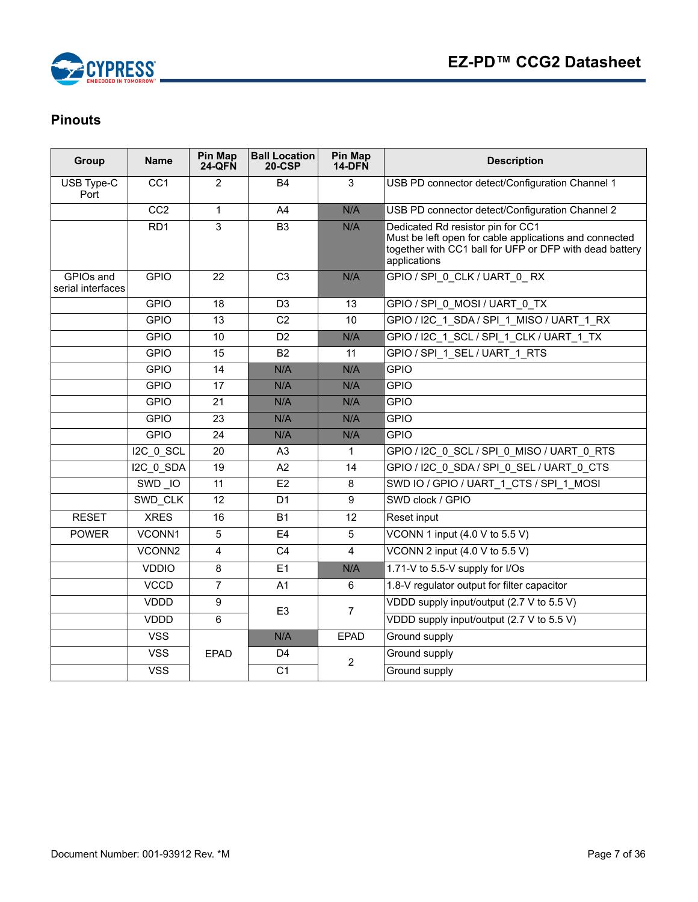

# <span id="page-6-0"></span>**Pinouts**

| Group                          | <b>Name</b>      | Pin Map<br><b>24-QFN</b> | <b>Ball Location</b><br>$20-CSP$ | Pin Map<br>14-DFN | <b>Description</b>                                                                                                                                                     |  |  |  |
|--------------------------------|------------------|--------------------------|----------------------------------|-------------------|------------------------------------------------------------------------------------------------------------------------------------------------------------------------|--|--|--|
| USB Type-C<br>Port             | $\overline{CC1}$ | 2                        | <b>B4</b>                        | 3                 | USB PD connector detect/Configuration Channel 1                                                                                                                        |  |  |  |
|                                | CC2              | 1                        | A4                               | N/A               | USB PD connector detect/Configuration Channel 2                                                                                                                        |  |  |  |
|                                | RD <sub>1</sub>  | 3                        | B <sub>3</sub>                   | N/A               | Dedicated Rd resistor pin for CC1<br>Must be left open for cable applications and connected<br>together with CC1 ball for UFP or DFP with dead battery<br>applications |  |  |  |
| GPIOs and<br>serial interfaces | <b>GPIO</b>      | 22                       | C <sub>3</sub>                   | N/A               | GPIO / SPI 0 CLK / UART 0 RX                                                                                                                                           |  |  |  |
|                                | <b>GPIO</b>      | 18                       | D <sub>3</sub>                   | 13                | GPIO / SPI 0 MOSI / UART 0 TX                                                                                                                                          |  |  |  |
|                                | <b>GPIO</b>      | 13                       | C <sub>2</sub>                   | 10                | GPIO / I2C 1 SDA / SPI 1 MISO / UART 1 RX                                                                                                                              |  |  |  |
|                                | <b>GPIO</b>      | 10                       | D <sub>2</sub>                   | N/A               | GPIO / I2C_1_SCL / SPI_1_CLK / UART_1_TX                                                                                                                               |  |  |  |
|                                | <b>GPIO</b>      | $\overline{15}$          | $\overline{B2}$                  | 11                | GPIO / SPI 1 SEL / UART 1 RTS                                                                                                                                          |  |  |  |
|                                | <b>GPIO</b>      | 14                       | N/A                              | N/A               | <b>GPIO</b>                                                                                                                                                            |  |  |  |
|                                | <b>GPIO</b>      | 17                       | N/A                              | N/A               | <b>GPIO</b>                                                                                                                                                            |  |  |  |
|                                | <b>GPIO</b>      | 21                       | N/A                              | N/A               | <b>GPIO</b>                                                                                                                                                            |  |  |  |
|                                | <b>GPIO</b>      | 23                       | N/A                              | N/A               | <b>GPIO</b>                                                                                                                                                            |  |  |  |
|                                | <b>GPIO</b>      | 24                       | N/A                              | N/A               | <b>GPIO</b>                                                                                                                                                            |  |  |  |
|                                | I2C 0 SCL        | 20                       | A <sub>3</sub>                   | $\mathbf{1}$      | GPIO / I2C 0 SCL / SPI 0 MISO / UART 0 RTS                                                                                                                             |  |  |  |
|                                | $IC_0$ SDA       | 19                       | A2                               | 14                | GPIO / I2C 0 SDA / SPI 0 SEL / UART 0 CTS                                                                                                                              |  |  |  |
|                                | SWD IO           | 11                       | E2                               | 8                 | SWD IO / GPIO / UART 1 CTS / SPI 1 MOSI                                                                                                                                |  |  |  |
|                                | SWD_CLK          | 12                       | D <sub>1</sub>                   | 9                 | SWD clock / GPIO                                                                                                                                                       |  |  |  |
| <b>RESET</b>                   | <b>XRES</b>      | 16                       | <b>B1</b>                        | 12                | Reset input                                                                                                                                                            |  |  |  |
| <b>POWER</b>                   | VCONN1           | 5                        | E <sub>4</sub>                   | 5                 | VCONN 1 input (4.0 V to 5.5 V)                                                                                                                                         |  |  |  |
|                                | VCONN2           | $\overline{4}$           | $\overline{C4}$                  | 4                 | VCONN 2 input $(4.0 V to 5.5 V)$                                                                                                                                       |  |  |  |
|                                | <b>VDDIO</b>     | 8                        | E1                               | N/A               | 1.71-V to 5.5-V supply for I/Os                                                                                                                                        |  |  |  |
|                                | <b>VCCD</b>      | $\overline{7}$           | A1                               | 6                 | 1.8-V regulator output for filter capacitor                                                                                                                            |  |  |  |
|                                | <b>VDDD</b>      | 9                        |                                  |                   | VDDD supply input/output (2.7 V to 5.5 V)                                                                                                                              |  |  |  |
|                                | <b>VDDD</b>      | 6                        | E <sub>3</sub>                   | $\overline{7}$    | VDDD supply input/output (2.7 V to 5.5 V)                                                                                                                              |  |  |  |
|                                | <b>VSS</b>       |                          | N/A                              | <b>EPAD</b>       | Ground supply                                                                                                                                                          |  |  |  |
|                                | <b>VSS</b>       | <b>EPAD</b>              | D <sub>4</sub>                   |                   | Ground supply                                                                                                                                                          |  |  |  |
|                                | <b>VSS</b>       |                          | C <sub>1</sub>                   | $\overline{2}$    | Ground supply                                                                                                                                                          |  |  |  |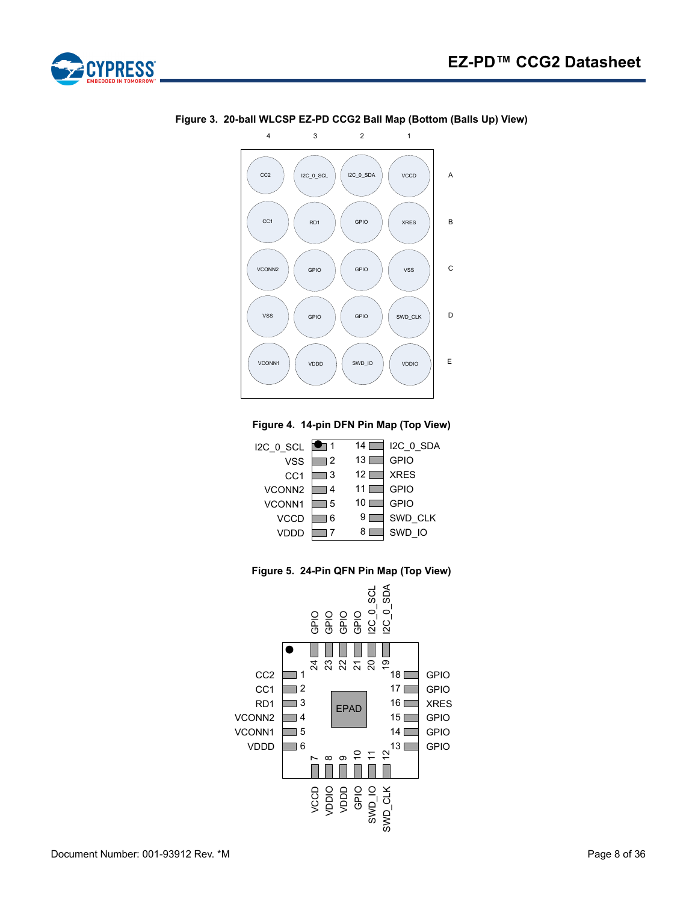



**Figure 3. 20-ball WLCSP EZ-PD CCG2 Ball Map (Bottom (Balls Up) View)** 

#### **Figure 4. 14-pin DFN Pin Map (Top View)**





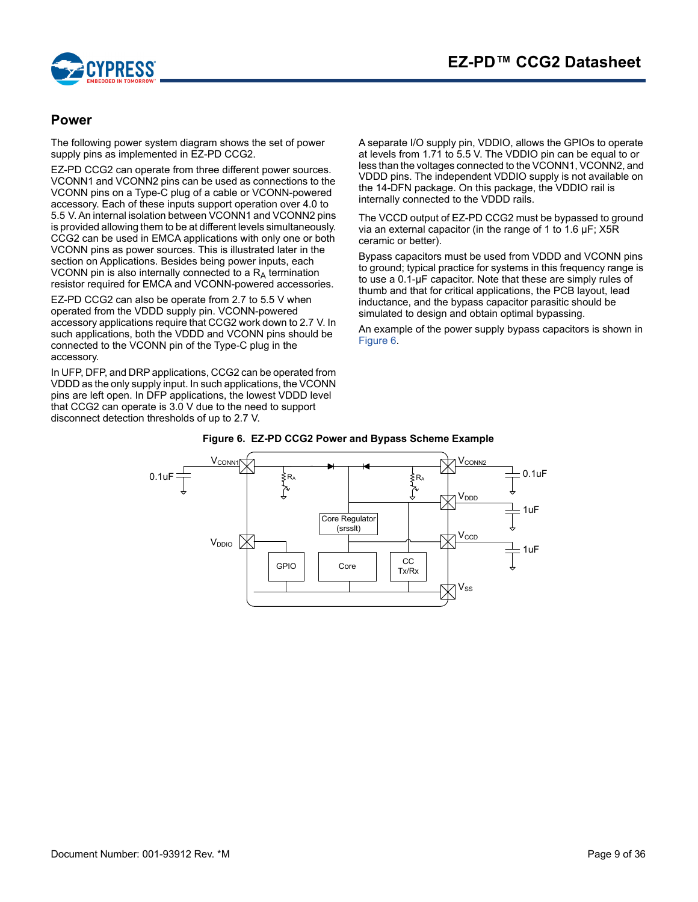

# <span id="page-8-0"></span>**Power**

The following power system diagram shows the set of power supply pins as implemented in EZ-PD CCG2.

EZ-PD CCG2 can operate from three different power sources. VCONN1 and VCONN2 pins can be used as connections to the VCONN pins on a Type-C plug of a cable or VCONN-powered accessory. Each of these inputs support operation over 4.0 to 5.5 V. An internal isolation between VCONN1 and VCONN2 pins is provided allowing them to be at different levels simultaneously. CCG2 can be used in EMCA applications with only one or both VCONN pins as power sources. This is illustrated later in the section on Applications. Besides being power inputs, each VCONN pin is also internally connected to a  $R_A$  termination resistor required for EMCA and VCONN-powered accessories.

EZ-PD CCG2 can also be operate from 2.7 to 5.5 V when operated from the VDDD supply pin. VCONN-powered accessory applications require that CCG2 work down to 2.7 V. In such applications, both the VDDD and VCONN pins should be connected to the VCONN pin of the Type-C plug in the accessory.

<span id="page-8-1"></span>In UFP, DFP, and DRP applications, CCG2 can be operated from VDDD as the only supply input. In such applications, the VCONN pins are left open. In DFP applications, the lowest VDDD level that CCG2 can operate is 3.0 V due to the need to support disconnect detection thresholds of up to 2.7 V.

A separate I/O supply pin, VDDIO, allows the GPIOs to operate at levels from 1.71 to 5.5 V. The VDDIO pin can be equal to or less than the voltages connected to the VCONN1, VCONN2, and VDDD pins. The independent VDDIO supply is not available on the 14-DFN package. On this package, the VDDIO rail is internally connected to the VDDD rails.

The VCCD output of EZ-PD CCG2 must be bypassed to ground via an external capacitor (in the range of 1 to 1.6 µF; X5R ceramic or better).

Bypass capacitors must be used from VDDD and VCONN pins to ground; typical practice for systems in this frequency range is to use a 0.1-µF capacitor. Note that these are simply rules of thumb and that for critical applications, the PCB layout, lead inductance, and the bypass capacitor parasitic should be simulated to design and obtain optimal bypassing.

An example of the power supply bypass capacitors is shown in [Figure 6.](#page-8-1)



#### **Figure 6. EZ-PD CCG2 Power and Bypass Scheme Example**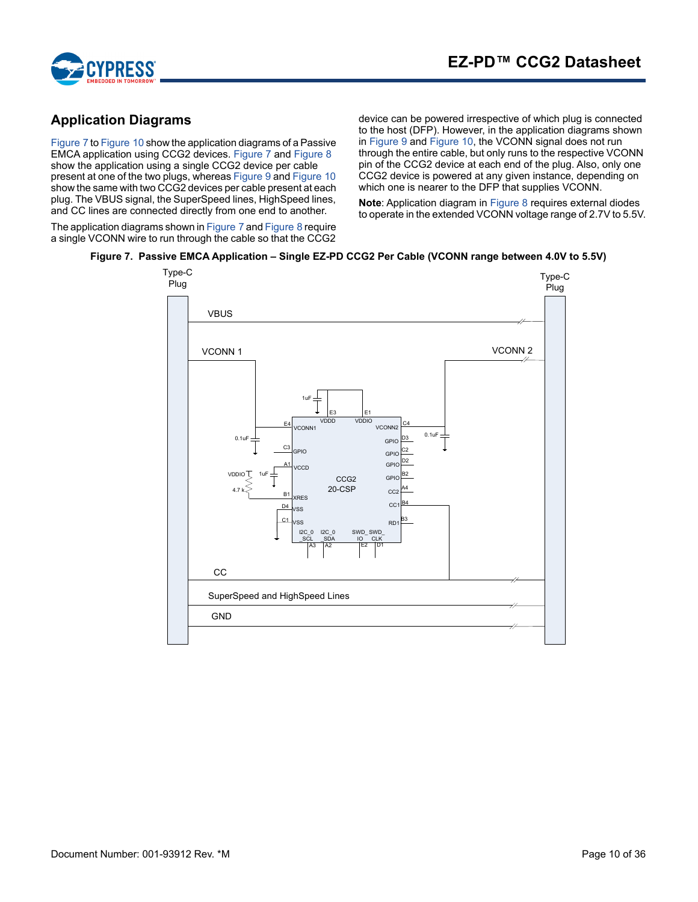

# <span id="page-9-0"></span>**Application Diagrams**

[Figure 7](#page-9-1) to Figure 10 show the application diagrams of a Passive EMCA application using CCG2 devices. [Figure 7](#page-9-1) and [Figure 8](#page-10-0) show the application using a single CCG2 device per cable present at one of the two plugs, whereas [Figure 9](#page-11-0) and Figure 10 show the same with two CCG2 devices per cable present at each plug. The VBUS signal, the SuperSpeed lines, HighSpeed lines, and CC lines are connected directly from one end to another.

The application diagrams shown in [Figure 7](#page-9-1) and [Figure 8](#page-10-0) require a single VCONN wire to run through the cable so that the CCG2 device can be powered irrespective of which plug is connected to the host (DFP). However, in the application diagrams shown in [Figure 9](#page-11-0) and Figure 10, the VCONN signal does not run through the entire cable, but only runs to the respective VCONN pin of the CCG2 device at each end of the plug. Also, only one CCG2 device is powered at any given instance, depending on which one is nearer to the DFP that supplies VCONN.

**Note**: Application diagram in [Figure 8](#page-10-0) requires external diodes to operate in the extended VCONN voltage range of 2.7V to 5.5V.

# <span id="page-9-1"></span>**Figure 7. Passive EMCA Application – Single EZ-PD CCG2 Per Cable (VCONN range between 4.0V to 5.5V)**

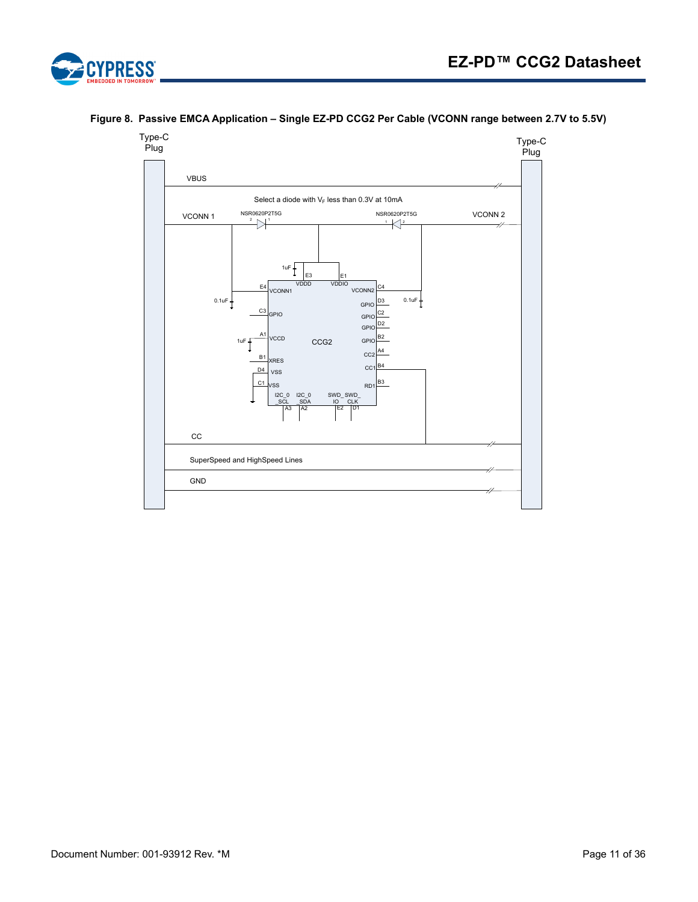

#### <span id="page-10-0"></span>**Figure 8. Passive EMCA Application – Single EZ-PD CCG2 Per Cable (VCONN range between 2.7V to 5.5V)**

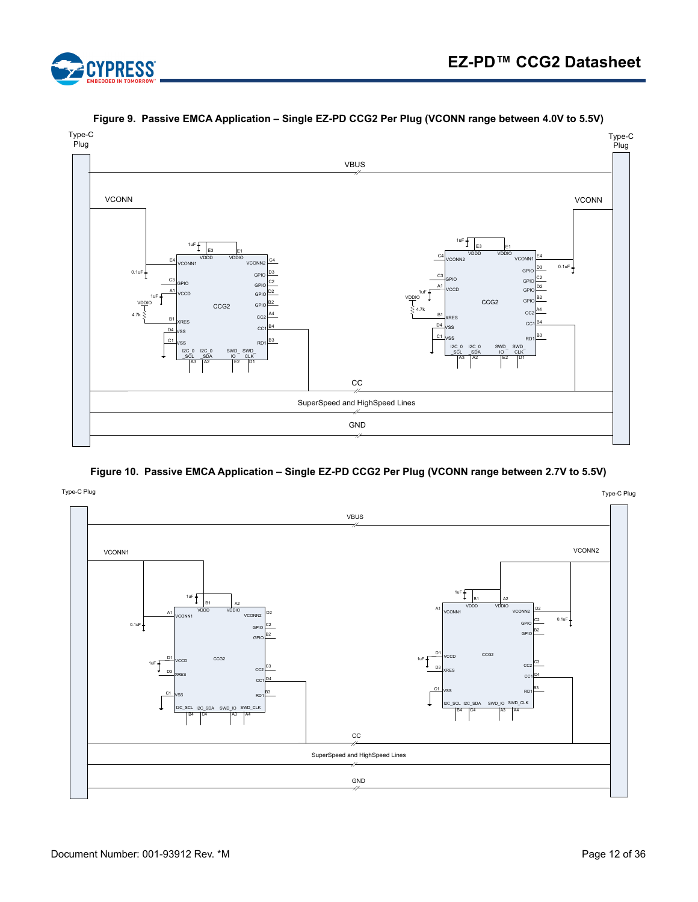

<span id="page-11-0"></span>

**Figure 9. Passive EMCA Application – Single EZ-PD CCG2 Per Plug (VCONN range between 4.0V to 5.5V)**

**Figure 10. Passive EMCA Application – Single EZ-PD CCG2 Per Plug (VCONN range between 2.7V to 5.5V)**

<span id="page-11-1"></span>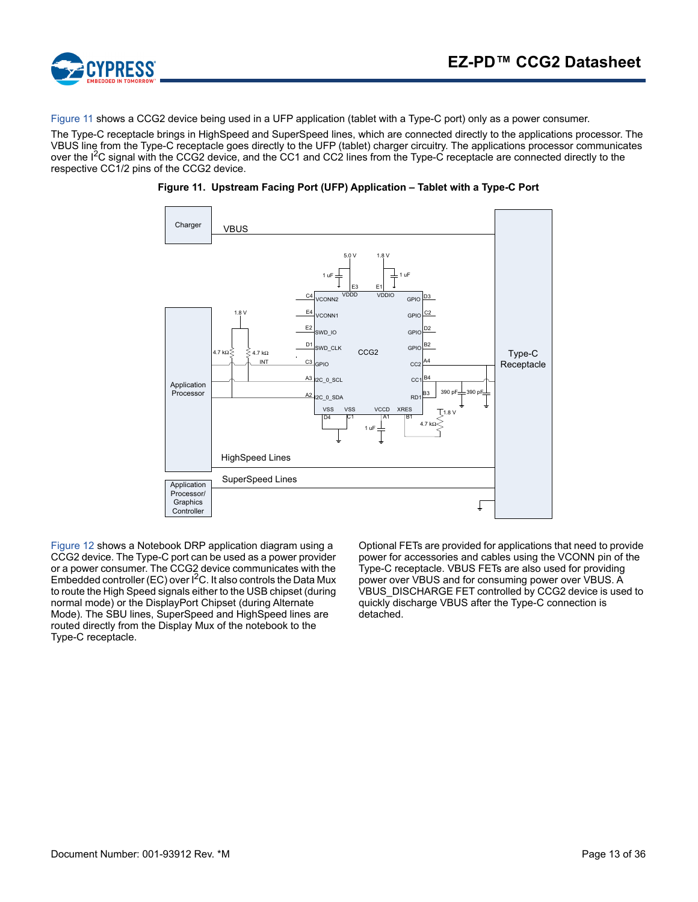

[Figure 11](#page-12-0) shows a CCG2 device being used in a UFP application (tablet with a Type-C port) only as a power consumer.

<span id="page-12-0"></span>The Type-C receptacle brings in HighSpeed and SuperSpeed lines, which are connected directly to the applications processor. The VBUS line from the Type-C receptacle goes directly to the UFP (tablet) charger circuitry. The applications processor communicates over the I<sup>2</sup>C signal with the CCG2 device, and the CC1 and CC2 lines from the Type-C receptacle are connected directly to the respective CC1/2 pins of the CCG2 device.



**Figure 11. Upstream Facing Port (UFP) Application – Tablet with a Type-C Port** 

[Figure 12](#page-13-0) shows a Notebook DRP application diagram using a CCG2 device. The Type-C port can be used as a power provider or a power consumer. The CCG2 device communicates with the Embedded controller (EC) over  $I^2C$ . It also controls the Data Mux to route the High Speed signals either to the USB chipset (during normal mode) or the DisplayPort Chipset (during Alternate Mode). The SBU lines, SuperSpeed and HighSpeed lines are routed directly from the Display Mux of the notebook to the Type-C receptacle.

Optional FETs are provided for applications that need to provide power for accessories and cables using the VCONN pin of the Type-C receptacle. VBUS FETs are also used for providing power over VBUS and for consuming power over VBUS. A VBUS DISCHARGE FET controlled by CCG2 device is used to quickly discharge VBUS after the Type-C connection is detached.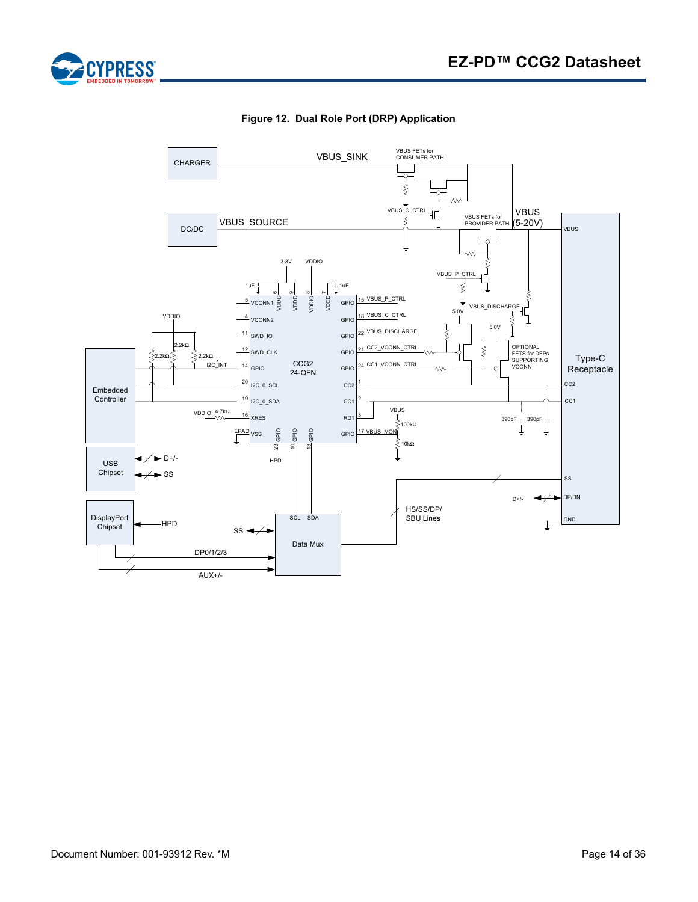

<span id="page-13-0"></span>

**Figure 12. Dual Role Port (DRP) Application**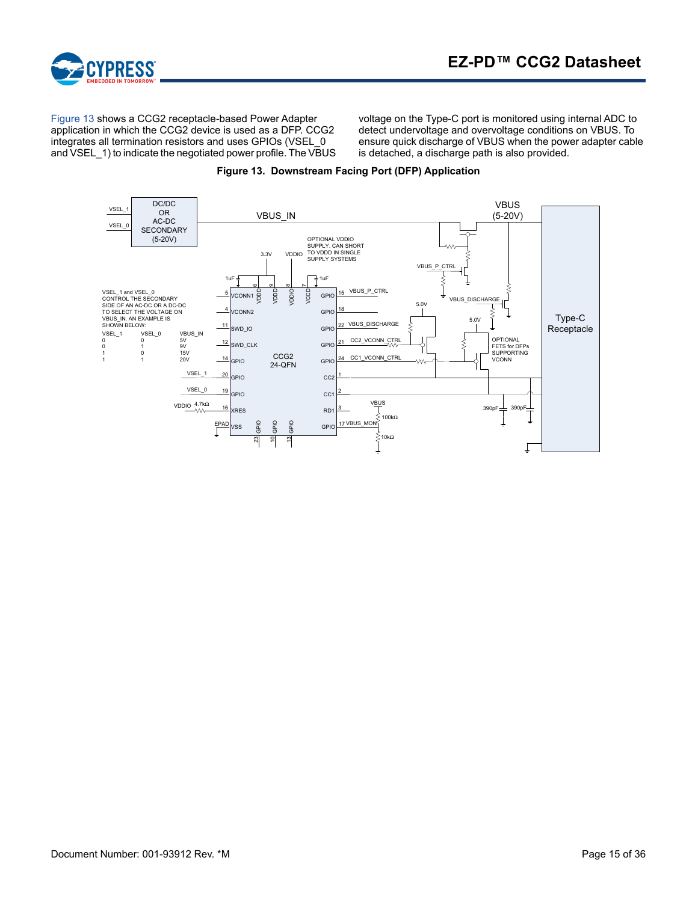

[Figure 13](#page-14-0) shows a CCG2 receptacle-based Power Adapter application in which the CCG2 device is used as a DFP. CCG2 integrates all termination resistors and uses GPIOs (VSEL\_0 and VSEL\_1) to indicate the negotiated power profile. The VBUS

voltage on the Type-C port is monitored using internal ADC to detect undervoltage and overvoltage conditions on VBUS. To ensure quick discharge of VBUS when the power adapter cable is detached, a discharge path is also provided.

<span id="page-14-0"></span>

#### **Figure 13. Downstream Facing Port (DFP) Application**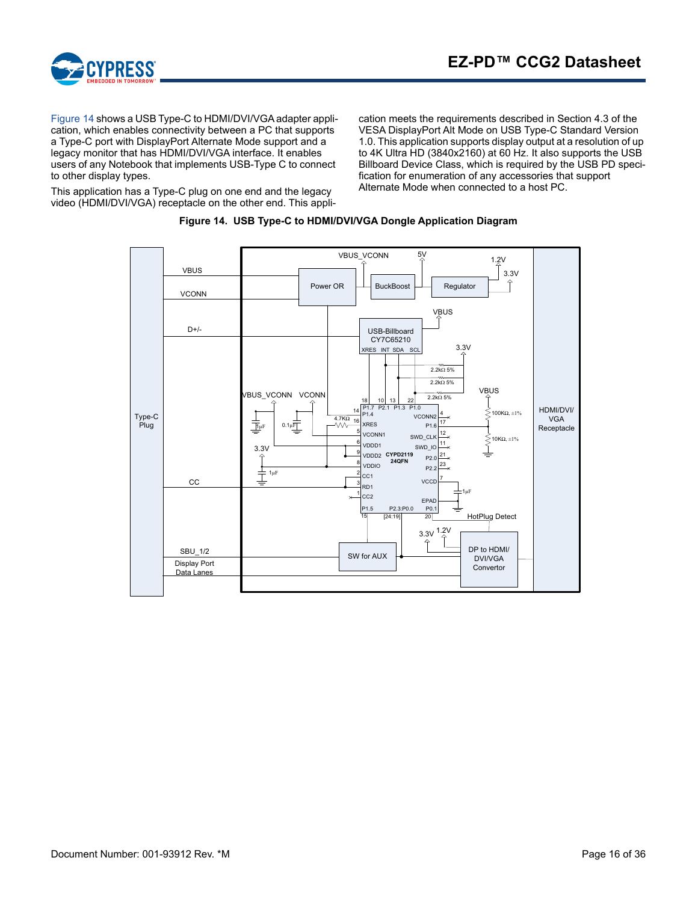

[Figure 14](#page-15-0) shows a USB Type-C to HDMI/DVI/VGA adapter application, which enables connectivity between a PC that supports a Type-C port with DisplayPort Alternate Mode support and a legacy monitor that has HDMI/DVI/VGA interface. It enables users of any Notebook that implements USB-Type C to connect to other display types.

<span id="page-15-0"></span>This application has a Type-C plug on one end and the legacy video (HDMI/DVI/VGA) receptacle on the other end. This application meets the requirements described in Section 4.3 of the VESA DisplayPort Alt Mode on USB Type-C Standard Version 1.0. This application supports display output at a resolution of up to 4K Ultra HD (3840x2160) at 60 Hz. It also supports the USB Billboard Device Class, which is required by the USB PD specification for enumeration of any accessories that support Alternate Mode when connected to a host PC.



#### **Figure 14. USB Type-C to HDMI/DVI/VGA Dongle Application Diagram**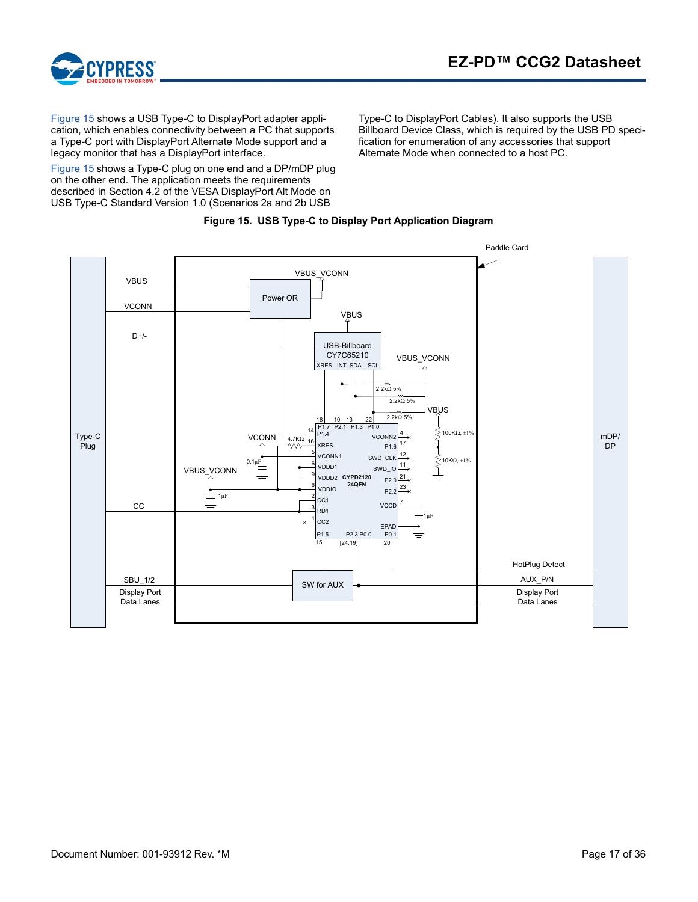



[Figure 15](#page-16-0) shows a USB Type-C to DisplayPort adapter application, which enables connectivity between a PC that supports a Type-C port with DisplayPort Alternate Mode support and a legacy monitor that has a DisplayPort interface.

[Figure 15](#page-16-0) shows a Type-C plug on one end and a DP/mDP plug on the other end. The application meets the requirements described in Section 4.2 of the VESA DisplayPort Alt Mode on USB Type-C Standard Version 1.0 (Scenarios 2a and 2b USB

Type-C to DisplayPort Cables). It also supports the USB Billboard Device Class, which is required by the USB PD specification for enumeration of any accessories that support Alternate Mode when connected to a host PC.



<span id="page-16-0"></span>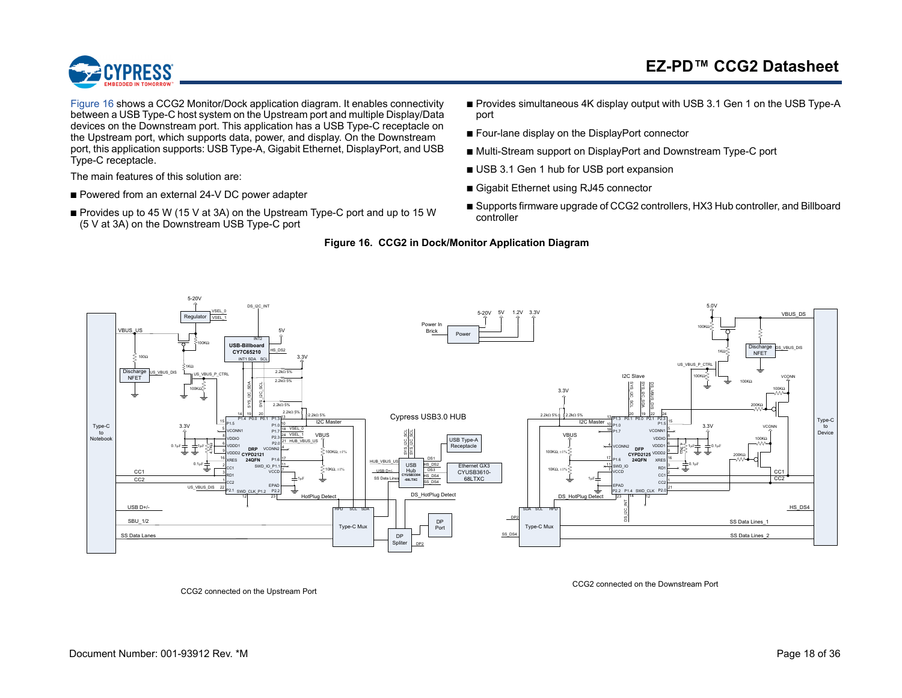

[Figure](#page-17-0) 16 shows a CCG2 Monitor/Dock application diagram. It enables connectivity between a USB Type-C host system on the Upstream port and multiple Display/Data devices on the Downstream port. This application has a USB Type-C receptacle on the Upstream port, which supports data, power, and display. On the Downstream port, this application supports: USB Type-A, Gigabit Ethernet, DisplayPort, and USB Type-C receptacle.

The main features of this solution are:

- Powered from an external 24-V DC power adapter
- <span id="page-17-0"></span>■ Provides up to 45 W (15 V at 3A) on the Upstream Type-C port and up to 15 W (5 V at 3A) on the Downstream USB Type-C port
- Provides simultaneous 4K display output with USB 3.1 Gen 1 on the USB Type-A port
- Four-lane display on the DisplayPort connector
- Multi-Stream support on DisplayPort and Downstream Type-C port
- USB 3.1 Gen 1 hub for USB port expansion
- Gigabit Ethernet using RJ45 connector
- Supports firmware upgrade of CCG2 controllers, HX3 Hub controller, and Billboard controller

#### **Figure 16. CCG2 in Dock/Monitor Application Diagram**



<span id="page-17-1"></span>CCG2 connected on the Upstream Port

CCG2 connected on the Downstream Port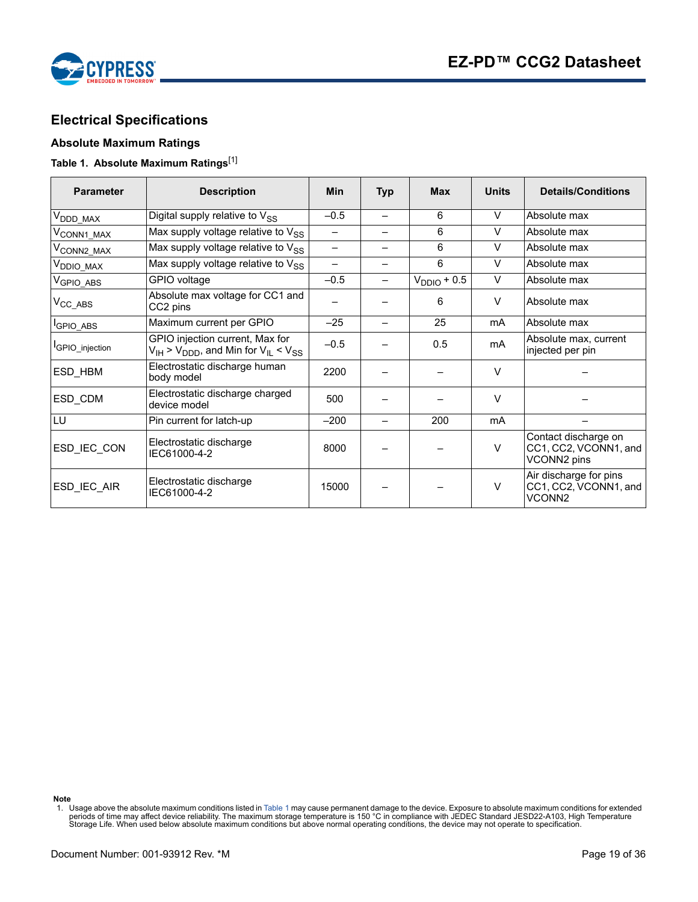

# <span id="page-18-0"></span>**Electrical Specifications**

#### <span id="page-18-1"></span>**Absolute Maximum Ratings**

# <span id="page-18-2"></span>**Table 1. Absolute Maximum Ratings**[\[1](#page-18-3)]

| <b>Parameter</b>            | <b>Description</b>                                                                        | <b>Min</b><br>Typ |   | <b>Max</b>       | <b>Units</b> | <b>Details/Conditions</b>                                             |  |
|-----------------------------|-------------------------------------------------------------------------------------------|-------------------|---|------------------|--------------|-----------------------------------------------------------------------|--|
| $V_{\mathsf{DDD\_MAX}}$     | Digital supply relative to V <sub>SS</sub>                                                | $-0.5$            | — | 6                | V            | Absolute max                                                          |  |
| V <sub>CONN1_MAX</sub>      | Max supply voltage relative to $V_{SS}$                                                   |                   |   | 6                | V            | Absolute max                                                          |  |
| V <sub>CONN2_MAX</sub>      | Max supply voltage relative to $V_{SS}$                                                   |                   |   | 6                | $\vee$       | Absolute max                                                          |  |
| V <sub>DDIO_MAX</sub>       | Max supply voltage relative to $V_{SS}$                                                   |                   | — | 6                | $\vee$       | Absolute max                                                          |  |
| V <sub>GPIO_ABS</sub>       | GPIO voltage                                                                              | $-0.5$            |   | $V_{DDIO}$ + 0.5 | $\vee$       | Absolute max                                                          |  |
| $V_{\text{CC}\_\text{ABS}}$ | Absolute max voltage for CC1 and<br>CC2 pins                                              |                   |   | 6                | $\vee$       | Absolute max                                                          |  |
| <sup>I</sup> GPIO_ABS       | Maximum current per GPIO                                                                  | $-25$             |   | 25               | mA           | Absolute max                                                          |  |
| <b>GPIO</b> injection       | GPIO injection current, Max for<br>$V_{IH}$ > $V_{DDD}$ , and Min for $V_{IL}$ < $V_{SS}$ | $-0.5$            |   | 0.5              | mA           | Absolute max, current<br>injected per pin                             |  |
| ESD HBM                     | Electrostatic discharge human<br>body model                                               | 2200              |   |                  | $\vee$       |                                                                       |  |
| ESD_CDM                     | Electrostatic discharge charged<br>device model                                           | 500               |   |                  | $\vee$       |                                                                       |  |
| LU                          | Pin current for latch-up                                                                  | $-200$            |   | 200              | mA           |                                                                       |  |
| ESD_IEC_CON                 | Electrostatic discharge<br>IEC61000-4-2                                                   | 8000              |   |                  | $\vee$       | Contact discharge on<br>CC1, CC2, VCONN1, and<br>VCONN2 pins          |  |
| ESD_IEC_AIR                 | Electrostatic discharge<br>IEC61000-4-2                                                   | 15000             |   |                  | $\vee$       | Air discharge for pins<br>CC1, CC2, VCONN1, and<br>VCONN <sub>2</sub> |  |
|                             |                                                                                           |                   |   |                  |              |                                                                       |  |

**Note**

<span id="page-18-3"></span><sup>1.</sup> Usage above the absolute maximum conditions listed in [Table 1](#page-18-2) may cause permanent damage to the device. Exposure to absolute maximum conditions for extended<br>Periods of time may affect device reliability. The maximum s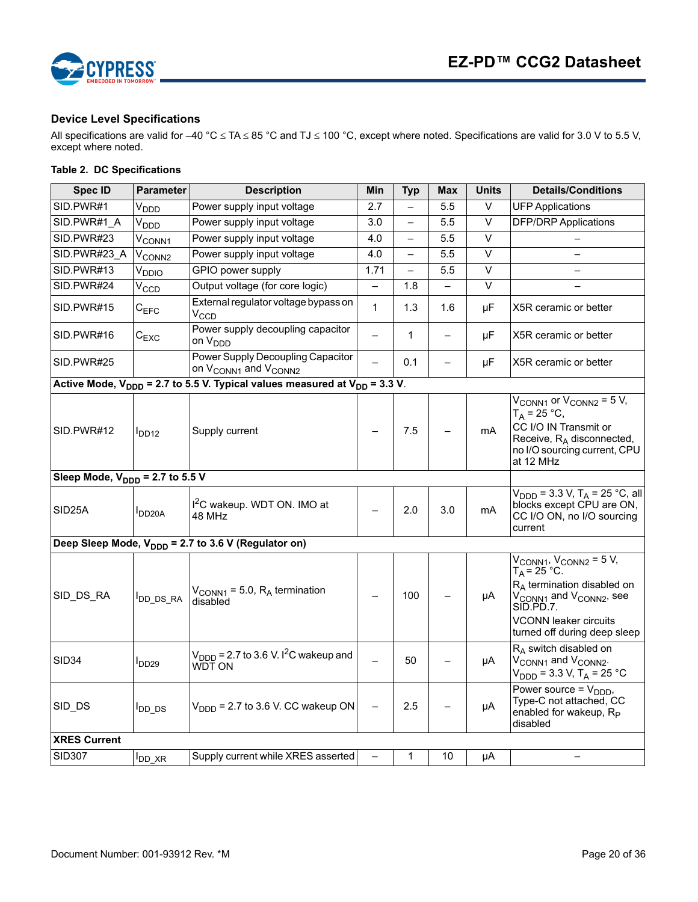

#### <span id="page-19-0"></span>**Device Level Specifications**

All specifications are valid for –40 °C  $\leq$  TA  $\leq$  85 °C and TJ  $\leq$  100 °C, except where noted. Specifications are valid for 3.0 V to 5.5 V, except where noted.

### **Table 2. DC Specifications**

| <b>Spec ID</b>                              | <b>Parameter</b>            | <b>Description</b>                                                                  | Min               | <b>Typ</b>   | <b>Max</b>               | <b>Units</b>      | <b>Details/Conditions</b>                                                                                                                                                                                                                   |
|---------------------------------------------|-----------------------------|-------------------------------------------------------------------------------------|-------------------|--------------|--------------------------|-------------------|---------------------------------------------------------------------------------------------------------------------------------------------------------------------------------------------------------------------------------------------|
| SID.PWR#1                                   | V <sub>DDD</sub>            | Power supply input voltage                                                          | 2.7               |              | 5.5                      | V                 | <b>UFP Applications</b>                                                                                                                                                                                                                     |
| SID.PWR#1 A                                 | V <sub>DDD</sub>            | Power supply input voltage                                                          | 3.0               |              | 5.5                      | $\overline{\vee}$ | <b>DFP/DRP Applications</b>                                                                                                                                                                                                                 |
| SID.PWR#23                                  | $\mathsf{v}_\mathsf{CONN1}$ | Power supply input voltage                                                          | 4.0               |              | 5.5                      | V                 |                                                                                                                                                                                                                                             |
| SID.PWR#23 A                                | V <sub>CONN2</sub>          | Power supply input voltage                                                          | 4.0               |              | 5.5                      | $\vee$            |                                                                                                                                                                                                                                             |
| SID.PWR#13                                  | √ррю                        | GPIO power supply                                                                   | 1.71              |              | 5.5                      | $\overline{\vee}$ |                                                                                                                                                                                                                                             |
| SID.PWR#24                                  | $V_{CCD}$                   | Output voltage (for core logic)                                                     | $\qquad \qquad -$ | 1.8          |                          | V                 |                                                                                                                                                                                                                                             |
| SID.PWR#15                                  | ${\rm c}_{\texttt{EFC}}$    | External regulator voltage bypass on<br>$V_{CCD}$                                   | $\mathbf{1}$      | 1.3          | 1.6                      | μF                | X5R ceramic or better                                                                                                                                                                                                                       |
| SID.PWR#16                                  | $C_{EXC}$                   | Power supply decoupling capacitor<br>on V <sub>DDD</sub>                            |                   | $\mathbf{1}$ | $\overline{\phantom{0}}$ | μF                | X5R ceramic or better                                                                                                                                                                                                                       |
| SID.PWR#25                                  |                             | Power Supply Decoupling Capacitor<br>on V <sub>CONN1</sub> and V <sub>CONN2</sub>   |                   | 0.1          | ╾                        | μF                | X5R ceramic or better                                                                                                                                                                                                                       |
|                                             |                             | Active Mode, $V_{DDD}$ = 2.7 to 5.5 V. Typical values measured at $V_{DD}$ = 3.3 V. |                   |              |                          |                   |                                                                                                                                                                                                                                             |
| SID.PWR#12                                  | I <sub>DD12</sub>           | Supply current                                                                      |                   | 7.5          |                          | mA                | $V_{\text{CONN1}}$ or $V_{\text{CONN2}} = 5$ V,<br>$T_A = 25 °C,$<br>CC I/O IN Transmit or<br>Receive, $R_A$ disconnected,<br>no I/O sourcing current, CPU<br>at 12 MHz                                                                     |
| Sleep Mode, $V_{\text{DDD}}$ = 2.7 to 5.5 V |                             |                                                                                     |                   |              |                          |                   |                                                                                                                                                                                                                                             |
| SID <sub>25</sub> A                         | DD <sub>20</sub> A          | I <sup>2</sup> C wakeup. WDT ON. IMO at<br>48 MHz                                   |                   | 2.0          | 3.0                      | mA                | $V_{\text{DDD}}$ = 3.3 V, T <sub>A</sub> = 25 °C, all<br>blocks except CPU are ON,<br>CC I/O ON, no I/O sourcing<br>current                                                                                                                 |
|                                             |                             | Deep Sleep Mode, V <sub>DDD</sub> = 2.7 to 3.6 V (Regulator on)                     |                   |              |                          |                   |                                                                                                                                                                                                                                             |
| SID DS RA                                   | DD_DS_RA                    | $V_{\text{CONN1}}$ = 5.0, $R_{\text{A}}$ termination<br>disabled                    |                   | 100          |                          | μA                | $V_{\text{CONN1}}$ , $V_{\text{CONN2}}$ = 5 V,<br>$T_A = 25 °C$ .<br>R <sub>A</sub> termination disabled on<br>V <sub>CONN1</sub> and V <sub>CONN2</sub> , see<br>SID.PD.7.<br><b>VCONN leaker circuits</b><br>turned off during deep sleep |
| SID <sub>34</sub>                           | $I_{DD29}$                  | $V_{\text{DDD}}$ = 2.7 to 3.6 V. I <sup>2</sup> C wakeup and<br>WDT ON              |                   | 50           |                          | μA                | $R_A$ switch disabled on<br>V <sub>CONN1</sub> and V <sub>CONN2</sub> .<br>$V_{\text{DDD}}$ = 3.3 V, T <sub>A</sub> = 25 °C                                                                                                                 |
| SID_DS                                      | l <sub>DD_DS</sub>          | $VDDD$ = 2.7 to 3.6 V. CC wakeup ON                                                 |                   | 2.5          |                          | $\mu A$           | Power source = $V_{\text{DDD}}$ ,<br>Type-C not attached, CC<br>enabled for wakeup, $R_{\rm p}$<br>disabled                                                                                                                                 |
| <b>XRES Current</b>                         |                             |                                                                                     |                   |              |                          |                   |                                                                                                                                                                                                                                             |
| <b>SID307</b>                               | $I_{DD}$ $XR$               | Supply current while XRES asserted                                                  |                   | 1            | 10                       | μA                |                                                                                                                                                                                                                                             |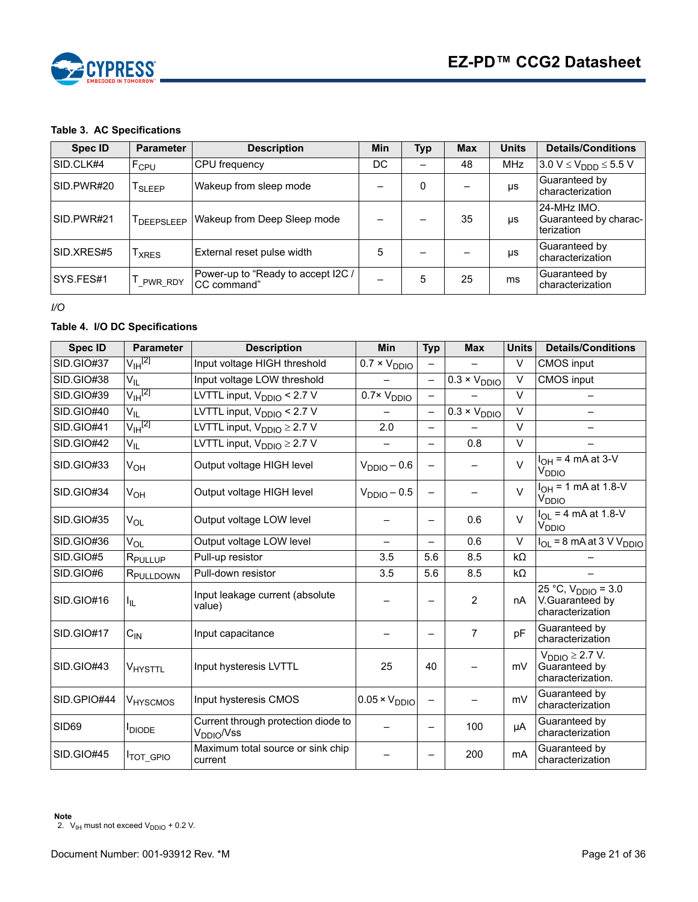

#### **Table 3. AC Specifications**

| <b>Spec ID</b> | <b>Parameter</b>   | <b>Description</b>                                | <b>Min</b> | <b>Typ</b> | <b>Max</b> | <b>Units</b> | <b>Details/Conditions</b>                          |
|----------------|--------------------|---------------------------------------------------|------------|------------|------------|--------------|----------------------------------------------------|
| SID.CLK#4      | F <sub>CPU</sub>   | CPU frequency                                     | DC         |            | 48         | <b>MHz</b>   | $3.0 V \le V_{DDD} \le 5.5 V$                      |
| SID.PWR#20     | $I_{SLEEP}$        | Wakeup from sleep mode                            |            | 0          |            | $\mu s$      | Guaranteed by<br>characterization                  |
| SID.PWR#21     | <b>I</b> DEEPSLEEP | Wakeup from Deep Sleep mode                       |            |            | 35         | $\mu s$      | 24-MHz IMO.<br>Guaranteed by charac-<br>terization |
| SID.XRES#5     | <b>XRES</b>        | External reset pulse width                        | 5          |            |            | $\mu s$      | Guaranteed by<br>characterization                  |
| SYS.FES#1      | PWR RDY            | Power-up to "Ready to accept I2C /<br>CC command" |            | 5          | 25         | ms           | Guaranteed by<br>characterization                  |

*I/O*

# **Table 4. I/O DC Specifications**

<span id="page-20-0"></span>

| <b>Spec ID</b> | <b>Parameter</b>       | <b>Description</b>                                            | <b>Min</b>                    | <b>Typ</b>               | <b>Max</b>            | <b>Units</b> | <b>Details/Conditions</b>                                      |
|----------------|------------------------|---------------------------------------------------------------|-------------------------------|--------------------------|-----------------------|--------------|----------------------------------------------------------------|
| SID.GIO#37     | $\rm V_{IH}^{[2]}$     | Input voltage HIGH threshold                                  | $\overline{0.7}$ × $V_{DDIO}$ |                          |                       | $\vee$       | <b>CMOS input</b>                                              |
| SID.GIO#38     | $V_{ L}$               | Input voltage LOW threshold                                   |                               | $\overline{\phantom{0}}$ | $0.3 \times V_{DDIO}$ | $\vee$       | <b>CMOS</b> input                                              |
| SID.GIO#39     | $\sqrt{H^{[2]}}$       | LVTTL input, $V_{DDIO}$ < 2.7 V                               | $\overline{0.7}$ × $V_{DDIO}$ |                          |                       | $\vee$       |                                                                |
| SID.GIO#40     | $V_{IL}$               | LVTTL input, V <sub>DDIO</sub> < 2.7 V                        |                               | $\overline{\phantom{0}}$ | $0.3 \times V_{DDIO}$ | $\vee$       |                                                                |
| SID.GIO#41     | $\rm V_{\rm IH}^{[2]}$ | LVTTL input, $V_{DDIO} \geq 2.7 V$                            | 2.0                           |                          |                       | $\vee$       |                                                                |
| SID.GIO#42     | $V_{\parallel L}$      | LVTTL input, $V_{DDIO} \geq 2.7 V$                            |                               |                          | 0.8                   | $\vee$       |                                                                |
| SID.GIO#33     | $V_{OH}$               | Output voltage HIGH level                                     | $VDIO - 0.6$                  |                          |                       | $\vee$       | $I_{OH} = 4 mA at 3-V$<br>V <sub>DDIO</sub>                    |
| SID.GIO#34     | $V_{OH}$               | Output voltage HIGH level                                     | $V_{DDIO} - 0.5$              | $\overline{\phantom{0}}$ |                       | $\vee$       | $I_{OH}$ = 1 mA at 1.8-V<br>V <sub>DDIO</sub>                  |
| SID.GIO#35     | $V_{OL}$               | Output voltage LOW level                                      |                               |                          | 0.6                   | $\vee$       | $I_{OL}$ = 4 mA at 1.8-V<br>V <sub>DDIO</sub>                  |
| SID.GIO#36     | $V_{OL}$               | Output voltage LOW level                                      |                               |                          | 0.6                   | $\vee$       | $I_{OL}$ = 8 mA at 3 V V <sub>DDIO</sub>                       |
| SID.GIO#5      | R <sub>PULLUP</sub>    | Pull-up resistor                                              | 3.5                           | 5.6                      | 8.5                   | $k\Omega$    |                                                                |
| SID.GIO#6      | R <sub>PULLDOWN</sub>  | Pull-down resistor                                            | 3.5                           | 5.6                      | 8.5                   | kΩ           |                                                                |
| SID.GIO#16     | I <sub>IL</sub>        | Input leakage current (absolute<br>value)                     |                               |                          | $\overline{2}$        | nA           | 25 °C, $V_{DDIO} = 3.0$<br>V.Guaranteed by<br>characterization |
| SID.GIO#17     | $C_{IN}$               | Input capacitance                                             |                               |                          | 7                     | pF           | Guaranteed by<br>characterization                              |
| SID.GIO#43     | <b>VHYSTTL</b>         | Input hysteresis LVTTL                                        | 25                            | 40                       |                       | mV           | $V_{DDIO} \geq 2.7 V$ .<br>Guaranteed by<br>characterization.  |
| SID.GPIO#44    | V <sub>HYSCMOS</sub>   | Input hysteresis CMOS                                         | $0.05 \times V_{DDIO}$        |                          |                       | mV           | Guaranteed by<br>characterization                              |
| SID69          | <b>I</b> DIODE         | Current through protection diode to<br>V <sub>DDIO</sub> /Vss |                               | -                        | 100                   | μA           | Guaranteed by<br>characterization                              |
| SID.GIO#45     | <b>ITOT_GPIO</b>       | Maximum total source or sink chip<br>current                  |                               |                          | 200                   | mA           | Guaranteed by<br>characterization                              |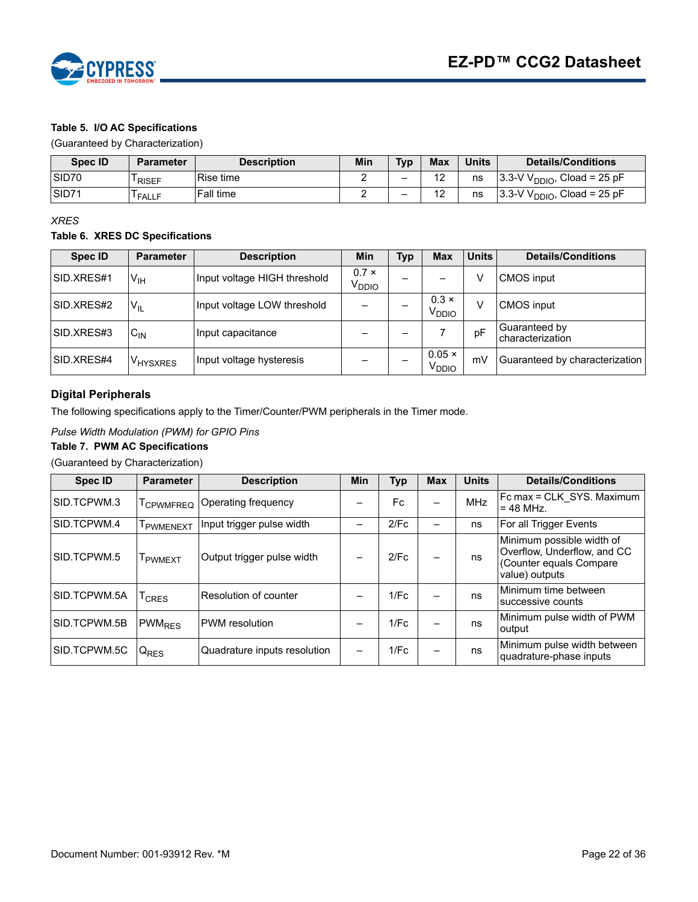

## **Table 5. I/O AC Specifications**

(Guaranteed by Characterization)

| <b>Spec ID</b>    | <b>Parameter</b>   | <b>Description</b> | Min | <b>Typ</b> | <b>Max</b>            | Units | <b>Details/Conditions</b>               |
|-------------------|--------------------|--------------------|-----|------------|-----------------------|-------|-----------------------------------------|
| SID <sub>70</sub> | RISEF              | Rise time          |     | -          | $\sim$<br>-           | ns    | 13.3-V Vi<br>$V_{DDIO}$ , Cload = 25 pF |
| SID71             | <sup>I</sup> FALLF | <b>Fall time</b>   | -   | -          | $\overline{A}$<br>. . | ns    | $3.3-VV$<br>$V_{DDIO}$ , Cload = 25 pF  |

*XRES*

#### **Table 6. XRES DC Specifications**

| <b>Spec ID</b> | <b>Parameter</b>            | <b>Description</b>           | Min                               | Typ | <b>Max</b>                         | <b>Units</b> | <b>Details/Conditions</b>         |
|----------------|-----------------------------|------------------------------|-----------------------------------|-----|------------------------------------|--------------|-----------------------------------|
| SID.XRES#1     | V <sub>IH</sub>             | Input voltage HIGH threshold | $0.7 \times$<br>V <sub>DDIO</sub> |     |                                    |              | <b>CMOS</b> input                 |
| SID.XRES#2     | $V_{IL}$                    | Input voltage LOW threshold  |                                   |     | $0.3 \times$<br>V <sub>DDIO</sub>  | $\vee$       | <b>CMOS</b> input                 |
| SID.XRES#3     | $C_{IN}$                    | Input capacitance            |                                   |     |                                    | pF           | Guaranteed by<br>characterization |
| SID.XRES#4     | <b>IV<sub>HYSXRES</sub></b> | Input voltage hysteresis     |                                   |     | $0.05 \times$<br>V <sub>DDIO</sub> | mV           | Guaranteed by characterization    |

#### <span id="page-21-0"></span>**Digital Peripherals**

The following specifications apply to the Timer/Counter/PWM peripherals in the Timer mode.

#### *Pulse Width Modulation (PWM) for GPIO Pins*

#### **Table 7. PWM AC Specifications**

(Guaranteed by Characterization)

| <b>Spec ID</b> | <b>Parameter</b>         | <b>Description</b>           | <b>Min</b> | Typ  | <b>Max</b>               | <b>Units</b> | <b>Details/Conditions</b>                                                                             |
|----------------|--------------------------|------------------------------|------------|------|--------------------------|--------------|-------------------------------------------------------------------------------------------------------|
| SID.TCPWM.3    | T <sub>CPWMFREQ</sub>    | Operating frequency          |            | Fc.  | $\overline{\phantom{0}}$ | <b>MHz</b>   | Fc max = CLK SYS. Maximum<br>$= 48$ MHz.                                                              |
| SID.TCPWM.4    | <b>PWMENEXT</b>          | Input trigger pulse width    |            | 2/Fc |                          | ns           | For all Trigger Events                                                                                |
| SID.TCPWM.5    | <b>I</b> PWMEXT          | Output trigger pulse width   |            | 2/Fc |                          | ns           | Minimum possible width of<br>Overflow, Underflow, and CC<br>(Counter equals Compare<br>value) outputs |
| SID.TCPWM.5A   | $T_{CRES}$               | Resolution of counter        |            | 1/Fc |                          | ns           | Minimum time between<br>successive counts                                                             |
| SID.TCPWM.5B   | <b>PWM<sub>RES</sub></b> | <b>PWM</b> resolution        |            | 1/Fc |                          | ns           | Minimum pulse width of PWM<br>output                                                                  |
| SID.TCPWM.5C   | $Q_{RES}$                | Quadrature inputs resolution |            | 1/Fc |                          | ns           | Minimum pulse width between<br>quadrature-phase inputs                                                |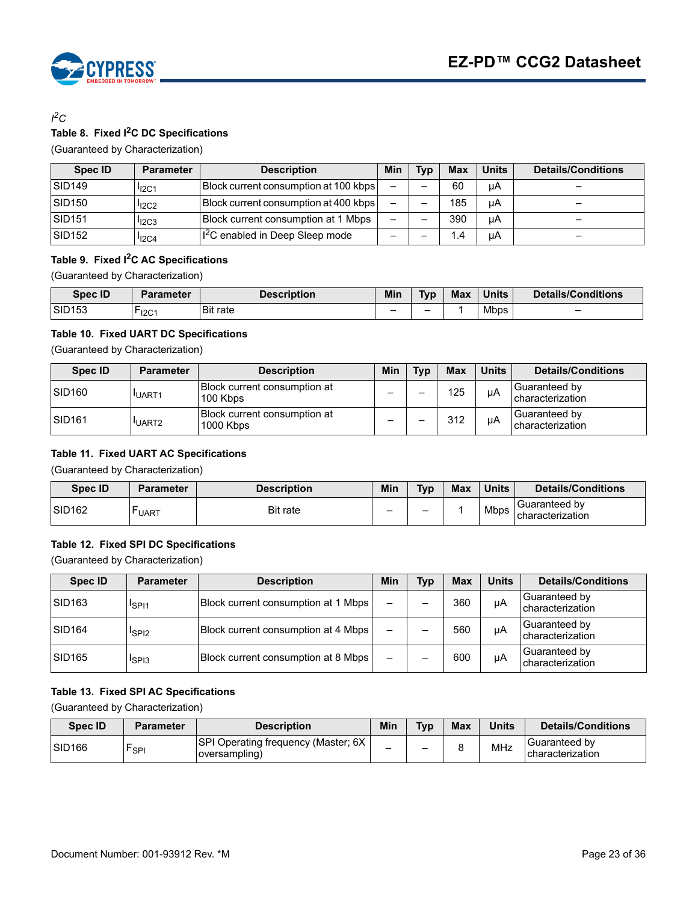

## *I 2C* **Table 8. Fixed I2C DC Specifications**

(Guaranteed by Characterization)

| Spec ID            | <b>Parameter</b>  | <b>Description</b>                         | Min      | Tvp | <b>Max</b> | <b>Units</b> | <b>Details/Conditions</b> |
|--------------------|-------------------|--------------------------------------------|----------|-----|------------|--------------|---------------------------|
| <b>SID149</b>      | I <sub>12C1</sub> | Block current consumption at 100 kbps      | $\equiv$ |     | 60         | μA           | -                         |
| SID <sub>150</sub> | $I_{12C2}$        | Block current consumption at 400 kbps      |          |     | 185        | μA           | -                         |
| SID <sub>151</sub> | $I12C3$           | Block current consumption at 1 Mbps        | -        |     | 390        | uA           | -                         |
| SID <sub>152</sub> | $I_{12C4}$        | <sup>12</sup> C enabled in Deep Sleep mode | -        |     | 1.4        | μA           | $\overline{\phantom{0}}$  |

## **Table 9. Fixed I2C AC Specifications**

(Guaranteed by Characterization)

| <b>Spec ID</b> | Parameter | <b>Description</b> | Min | <b>Typ</b> | <b>Max</b> | <b>Units</b> | <b>Details/Conditions</b> |
|----------------|-----------|--------------------|-----|------------|------------|--------------|---------------------------|
| <b>SID153</b>  | -<br>12C1 | <b>Bit rate</b>    | -   | -          |            | <b>Mbps</b>  |                           |

#### **Table 10. Fixed UART DC Specifications**

(Guaranteed by Characterization)

| Spec ID             | <b>Parameter</b>  | <b>Description</b>                        | Min | <b>Typ</b> | <b>Max</b> | <b>Units</b> | <b>Details/Conditions</b>          |
|---------------------|-------------------|-------------------------------------------|-----|------------|------------|--------------|------------------------------------|
| ISID <sub>160</sub> | UART <sub>1</sub> | Block current consumption at<br>100 Kbps  | -   | -          | 125        | uА           | lGuaranteed bv<br>characterization |
| ISID <sub>161</sub> | UART <sub>2</sub> | Block current consumption at<br>1000 Kbps | -   | -          | 312        | uА           | lGuaranteed bv<br>characterization |

#### **Table 11. Fixed UART AC Specifications**

(Guaranteed by Characterization)

| <b>Spec ID</b>     | <b>Parameter</b> | <b>Description</b> | Min | <b>Typ</b> | <b>Max</b> | <b>Units</b> | <b>Details/Conditions</b>                |
|--------------------|------------------|--------------------|-----|------------|------------|--------------|------------------------------------------|
| SID <sub>162</sub> | -<br><b>UART</b> | <b>Bit rate</b>    | -   | -          |            | <b>Mbps</b>  | <b>Guaranteed</b> bv<br>characterization |

#### **Table 12. Fixed SPI DC Specifications**

(Guaranteed by Characterization)

| Spec ID            | <b>Parameter</b>              | <b>Description</b>                  | Min                      | <b>Typ</b> | <b>Max</b> | <b>Units</b> | <b>Details/Conditions</b>         |
|--------------------|-------------------------------|-------------------------------------|--------------------------|------------|------------|--------------|-----------------------------------|
| SID <sub>163</sub> | <sup>I</sup> SPI <sub>1</sub> | Block current consumption at 1 Mbps | $\overline{\phantom{0}}$ |            | 360        | μA           | Guaranteed by<br>characterization |
| <b>SID164</b>      | <sup>I</sup> SPI <sub>2</sub> | Block current consumption at 4 Mbps | $\qquad \qquad$          |            | 560        | μA           | Guaranteed by<br>characterization |
| <b>SID165</b>      | <sup>I</sup> SPI3             | Block current consumption at 8 Mbps | $\overline{\phantom{m}}$ |            | 600        | uА           | Guaranteed by<br>characterization |

#### **Table 13. Fixed SPI AC Specifications**

(Guaranteed by Characterization)

| Spec ID             | <b>Parameter</b> | <b>Description</b>                                   | Min | $T_Vp$ | <b>Max</b> | <b>Units</b> | <b>Details/Conditions</b>          |
|---------------------|------------------|------------------------------------------------------|-----|--------|------------|--------------|------------------------------------|
| ISID <sub>166</sub> | יוPsP            | SPI Operating frequency (Master; 6X<br>oversampling) | -   | -      |            | MHz          | Guaranteed by<br>Icharacterization |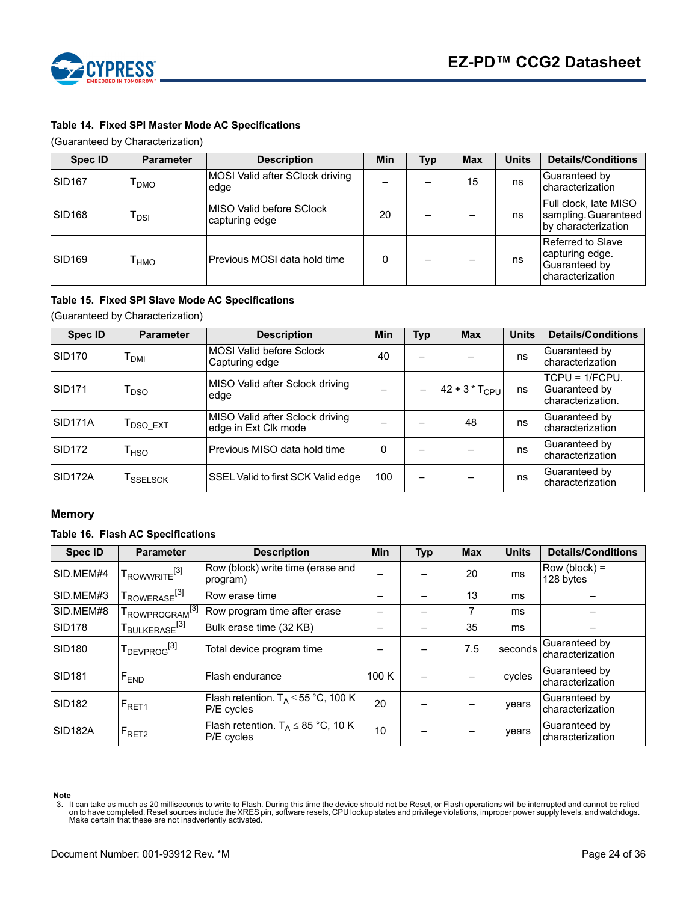



### **Table 14. Fixed SPI Master Mode AC Specifications**

(Guaranteed by Characterization)

| <b>Spec ID</b>     | <b>Parameter</b> | <b>Description</b>                         | Min | Typ | <b>Max</b> | <b>Units</b> | <b>Details/Conditions</b>                                                 |
|--------------------|------------------|--------------------------------------------|-----|-----|------------|--------------|---------------------------------------------------------------------------|
| SID <sub>167</sub> | <b>DMO</b>       | MOSI Valid after SClock driving<br>edge    |     |     | 15         | ns           | Guaranteed by<br>characterization                                         |
| SID <sub>168</sub> | <b>DSI</b>       | MISO Valid before SClock<br>capturing edge | 20  |     |            | ns           | Full clock, late MISO<br>sampling. Guaranteed<br>by characterization      |
| <b>SID169</b>      | <b>HMO</b>       | Previous MOSI data hold time               | 0   |     |            | ns           | Referred to Slave<br>capturing edge.<br>Guaranteed by<br>characterization |

#### **Table 15. Fixed SPI Slave Mode AC Specifications**

(Guaranteed by Characterization)

| Spec ID            | <b>Parameter</b>                 | <b>Description</b>                                      | Min | <b>Typ</b>               | <b>Max</b>           | <b>Units</b> | <b>Details/Conditions</b>                              |
|--------------------|----------------------------------|---------------------------------------------------------|-----|--------------------------|----------------------|--------------|--------------------------------------------------------|
| SID <sub>170</sub> | Т <sub>DМІ</sub>                 | <b>MOSI Valid before Sclock</b><br>Capturing edge       | 40  | $\overline{\phantom{0}}$ |                      | ns           | Guaranteed by<br>characterization                      |
| SID <sub>171</sub> | <sup>I</sup> DSO                 | MISO Valid after Sclock driving<br>edge                 |     |                          | $ 42 + 3 * T_{CPU} $ | ns           | $TCPU = 1/FCPU.$<br>Guaranteed by<br>characterization. |
| ISID171A           | $\mathsf{T}_{\mathsf{DSO\_EXT}}$ | MISO Valid after Sclock driving<br>edge in Ext Clk mode |     |                          | 48                   | ns           | Guaranteed by<br>characterization                      |
| SID172             | <sup>1</sup> HSO                 | lPrevious MISO data hold time                           | 0   | -                        |                      | ns           | Guaranteed by<br>characterization                      |
| ISID172A           | <sup>I</sup> SSELSCK             | SSEL Valid to first SCK Valid edge                      | 100 |                          |                      | ns           | Guaranteed by<br>characterization                      |

#### <span id="page-23-0"></span>**Memory**

#### **Table 16. Flash AC Specifications**

| <b>Spec ID</b>       | <b>Parameter</b>                     | <b>Description</b>                                    | Min  | <b>Typ</b> | <b>Max</b> | <b>Units</b> | <b>Details/Conditions</b>         |
|----------------------|--------------------------------------|-------------------------------------------------------|------|------------|------------|--------------|-----------------------------------|
| SID.MEM#4            | $T_{\text{ROWWRITE}}^{[3]}$          | Row (block) write time (erase and<br>program)         |      |            | 20         | ms           | $Row (block) =$<br>128 bytes      |
| SID.MEM#3            | T <sub>ROWERASE</sub> <sup>[3]</sup> | Row erase time                                        |      |            | 13         | ms           |                                   |
| SID.MEM#8            | TROWPROGRAM <sup>[3]</sup>           | Row program time after erase                          |      |            |            | ms           |                                   |
| SID <sub>178</sub>   | T <sub>BULKERASE</sub> [3]           | Bulk erase time (32 KB)                               |      |            | 35         | ms           |                                   |
| SID <sub>180</sub>   | T <sub>DEVPROG</sub> <sup>[3]</sup>  | Total device program time                             |      |            | 7.5        | seconds      | Guaranteed by<br>characterization |
| <b>SID181</b>        | F <sub>END</sub>                     | Flash endurance                                       | 100K |            |            | cycles       | Guaranteed by<br>characterization |
| SID <sub>182</sub>   | $IF_{\text{RET1}}$                   | Flash retention. $T_A \le 55$ °C, 100 K<br>P/E cycles | 20   |            |            | years        | Guaranteed by<br>characterization |
| SID <sub>182</sub> A | $F_{\text{RET2}}$                    | Flash retention. $T_A \leq 85$ °C, 10 K<br>P/E cycles | 10   |            |            | years        | Guaranteed by<br>characterization |

**Note**

<span id="page-23-1"></span>lt can take as much as 20 milliseconds to write to Flash. During this time the device should not be Reset, or Flash operations will be interrupted and cannot be relied. on to have completed. Reset include the XRES pin, so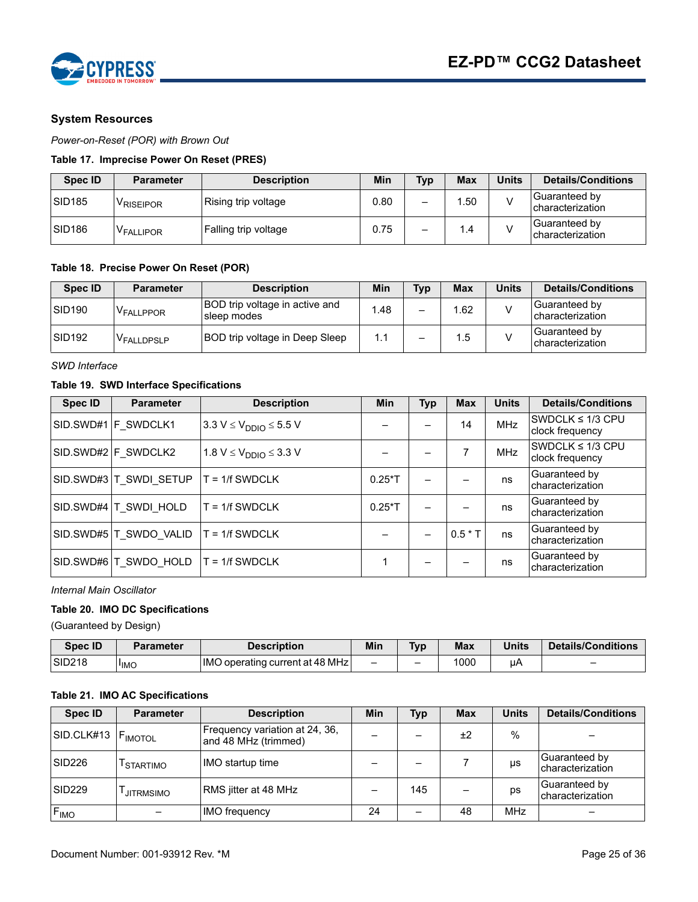

#### <span id="page-24-0"></span>**System Resources**

*Power-on-Reset (POR) with Brown Out*

#### **Table 17. Imprecise Power On Reset (PRES)**

| Spec ID            | <b>Parameter</b>      | <b>Description</b>   | Min  | Typ | <b>Max</b> | <b>Units</b> | Details/Conditions                |
|--------------------|-----------------------|----------------------|------|-----|------------|--------------|-----------------------------------|
| SID <sub>185</sub> | <sup>V</sup> RISEIPOR | Rising trip voltage  | 0.80 | -   | .50        |              | Guaranteed by<br>characterization |
| SID <sub>186</sub> | V <sub>FALLIPOR</sub> | Falling trip voltage | 0.75 | -   | 1.4        |              | Guaranteed by<br>characterization |

#### **Table 18. Precise Power On Reset (POR)**

| Spec ID            | <b>Parameter</b>      | <b>Description</b>                                   | Min | Typ | <b>Max</b> | <b>Units</b> | <b>Details/Conditions</b>         |
|--------------------|-----------------------|------------------------------------------------------|-----|-----|------------|--------------|-----------------------------------|
| SID <sub>190</sub> | V <sub>FALLPPOR</sub> | <b>BOD</b> trip voltage in active and<br>sleep modes | .48 | -   | 1.62       |              | Guaranteed by<br>characterization |
| SID <sub>192</sub> | VFALLDPSLP            | BOD trip voltage in Deep Sleep                       | 1.1 | -   | 1.5        |              | Guaranteed by<br>characterization |

*SWD Interface*

#### **Table 19. SWD Interface Specifications**

| <b>Spec ID</b> | <b>Parameter</b>       | <b>Description</b>                          | <b>Min</b> | <b>Typ</b> | <b>Max</b> | <b>Units</b> | <b>Details/Conditions</b>                |
|----------------|------------------------|---------------------------------------------|------------|------------|------------|--------------|------------------------------------------|
|                | SID.SWD#1 F SWDCLK1    | $3.3 V \leq V_{\text{DDIO}} \leq 5.5 V$     |            |            | 14         | <b>MHz</b>   | SWDCLK $\leq$ 1/3 CPU<br>clock frequency |
|                | SID.SWD#2 F SWDCLK2    | 1.8 V $\leq$ V <sub>DDIO</sub> $\leq$ 3.3 V |            |            |            | <b>MHz</b>   | SWDCLK $\leq$ 1/3 CPU<br>clock frequency |
|                | SID.SWD#3 T SWDI SETUP | $T = 1/f$ SWDCLK                            | $0.25*$ T  |            |            | ns           | Guaranteed by<br>characterization        |
|                | SID.SWD#4 T SWDI HOLD  | $T = 1/f$ SWDCLK                            | $0.25*$ T  |            |            | ns           | Guaranteed by<br>characterization        |
|                | SID.SWD#5 T SWDO VALID | $T = 1/f$ SWDCLK                            |            |            | $0.5 * T$  | ns           | Guaranteed by<br>characterization        |
|                | SID.SWD#6 T SWDO HOLD  | $T = 1/f$ SWDCLK                            |            |            |            | ns           | Guaranteed by<br>characterization        |

#### *Internal Main Oscillator*

#### **Table 20. IMO DC Specifications**

(Guaranteed by Design)

| <b>Spec ID</b>     | <b>Parameter</b> | <b>Description</b>                     | Min                      | <b>Typ</b> | <b>Max</b> | <b>Units</b> | Details/Conditions |
|--------------------|------------------|----------------------------------------|--------------------------|------------|------------|--------------|--------------------|
| SID <sub>218</sub> | <sup>I</sup> IMO | <b>IMO operating current at 48 MHz</b> | $\overline{\phantom{0}}$ | -          | 1000       | uf           | -                  |

#### **Table 21. IMO AC Specifications**

| <b>Spec ID</b>                   | <b>Parameter</b>      | <b>Description</b>                                     | Min | <b>Typ</b> | <b>Max</b> | <b>Units</b> | <b>Details/Conditions</b>          |
|----------------------------------|-----------------------|--------------------------------------------------------|-----|------------|------------|--------------|------------------------------------|
| SID.CLK#13   F <sub>IMOTOL</sub> |                       | Frequency variation at 24, 36,<br>and 48 MHz (trimmed) |     |            | ±2         | $\%$         |                                    |
| SID <sub>226</sub>               | <sup>I</sup> STARTIMO | IMO startup time                                       |     |            |            | μs           | Guaranteed by<br>Icharacterization |
| SID <sub>229</sub>               | <b>JITRMSIMO</b>      | RMS jitter at 48 MHz                                   |     | 145        |            | ps           | Guaranteed by<br>characterization  |
| F <sub>IMO</sub>                 |                       | <b>IMO</b> frequency                                   | 24  |            | 48         | MHz          |                                    |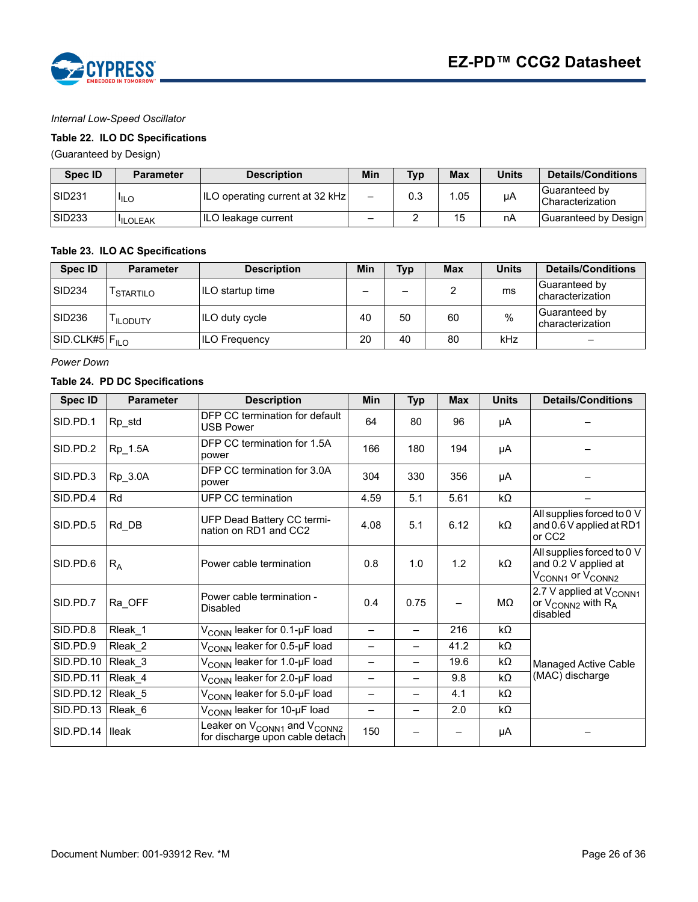

#### *Internal Low-Speed Oscillator*

#### **Table 22. ILO DC Specifications**

(Guaranteed by Design)

| <b>Spec ID</b>     | <b>Parameter</b> | <b>Description</b>                     | Min | Typ | <b>Max</b> | Units | <b>Details/Conditions</b>           |
|--------------------|------------------|----------------------------------------|-----|-----|------------|-------|-------------------------------------|
| SID <sub>231</sub> | <sup>I</sup> ILO | <b>ILO operating current at 32 kHz</b> | —   | 0.3 | .05        | μA    | Guaranteed by<br>l Characterization |
| <b>SID233</b>      | <b>ILOLEAK</b>   | ILO leakage current                    | -   |     | 15         | nA    | Guaranteed by Design                |

#### **Table 23. ILO AC Specifications**

| Spec ID                    | <b>Parameter</b>      | <b>Description</b>   | Min | <b>Typ</b>               | <b>Max</b> | <b>Units</b> | <b>Details/Conditions</b>                |
|----------------------------|-----------------------|----------------------|-----|--------------------------|------------|--------------|------------------------------------------|
| ISID <sub>234</sub>        | <sup>I</sup> STARTILO | ILO startup time     | —   | $\overline{\phantom{0}}$ |            | ms           | Guaranteed by<br><b>characterization</b> |
| SID <sub>236</sub>         | <sup>I</sup> ILODUTY  | ILO duty cycle       | 40  | 50                       | 60         | %            | Guaranteed by<br>characterization        |
| SID.CLK#5 F <sub>ILO</sub> |                       | <b>ILO Frequency</b> | 20  | 40                       | 80         | kHz          | $\overline{\phantom{0}}$                 |

*Power Down*

#### **Table 24. PD DC Specifications**

| <b>Spec ID</b> | <b>Parameter</b>   | <b>Description</b>                                                                     | <b>Min</b>               | <b>Typ</b>               | <b>Max</b> | <b>Units</b> | <b>Details/Conditions</b>                                                                      |  |
|----------------|--------------------|----------------------------------------------------------------------------------------|--------------------------|--------------------------|------------|--------------|------------------------------------------------------------------------------------------------|--|
| SID.PD.1       | Rp_std             | DFP CC termination for default<br><b>USB Power</b>                                     | 64                       | 80                       | 96         | μA           |                                                                                                |  |
| SID.PD.2       | Rp_1.5A            | DFP CC termination for 1.5A<br>power                                                   | 166                      | 180                      | 194        | μA           |                                                                                                |  |
| SID.PD.3       | Rp_3.0A            | DFP CC termination for 3.0A<br>power                                                   | 304                      | 330                      | 356        | μA           |                                                                                                |  |
| SID.PD.4       | Rd                 | UFP CC termination                                                                     | 4.59                     | 5.1                      | 5.61       | $k\Omega$    |                                                                                                |  |
| SID.PD.5       | Rd DB              | UFP Dead Battery CC termi-<br>nation on RD1 and CC2                                    | 4.08                     | 5.1                      | 6.12       | kΩ           | All supplies forced to 0 V<br>and 0.6 V applied at RD1<br>or CC <sub>2</sub>                   |  |
| SID.PD.6       | $R_{\rm A}$        | Power cable termination                                                                | 0.8                      | 1.0                      | 1.2        | kΩ           | All supplies forced to 0 V<br>and 0.2 V applied at<br>V <sub>CONN1</sub> or V <sub>CONN2</sub> |  |
| SID.PD.7       | Ra OFF             | Power cable termination -<br><b>Disabled</b>                                           | 0.4                      | 0.75                     |            | MΩ           | 2.7 V applied at V <sub>CONN1</sub><br>or $V_{CONN2}$ with $R_A$<br>disabled                   |  |
| SID.PD.8       | Rleak 1            | V <sub>CONN</sub> leaker for 0.1-µF load                                               |                          | —                        | 216        | $k\Omega$    |                                                                                                |  |
| SID.PD.9       | Rleak 2            | V <sub>CONN</sub> leaker for 0.5-µF load                                               | —                        | $\overline{\phantom{0}}$ | 41.2       | $k\Omega$    |                                                                                                |  |
| SID.PD.10      | Rleak_3            | V <sub>CONN</sub> leaker for 1.0-µF load                                               | —                        | —                        | 19.6       | kΩ           | Managed Active Cable                                                                           |  |
| SID.PD.11      | Rleak 4            | V <sub>CONN</sub> leaker for 2.0-µF load                                               | $\overline{\phantom{0}}$ | —                        | 9.8        | $k\Omega$    | (MAC) discharge                                                                                |  |
| SID.PD.12      | Rleak 5            | V <sub>CONN</sub> leaker for 5.0-µF load                                               | —                        | —                        | 4.1        | kΩ           |                                                                                                |  |
| SID.PD.13      | Rleak <sub>6</sub> | V <sub>CONN</sub> leaker for 10-µF load                                                | —                        | $\overline{\phantom{0}}$ | 2.0        | kΩ           |                                                                                                |  |
| SID.PD.14      | <b>Ileak</b>       | Leaker on V <sub>CONN1</sub> and V <sub>CONN2</sub><br>for discharge upon cable detach | 150                      |                          |            | μA           |                                                                                                |  |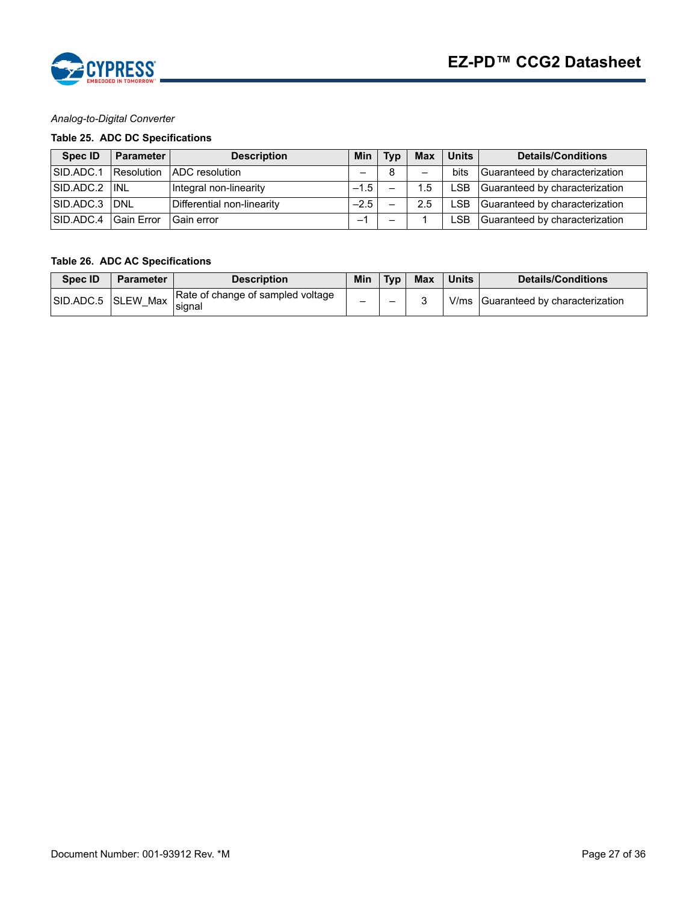

#### *Analog-to-Digital Converter*

# **Table 25. ADC DC Specifications**

| Spec ID       | <b>Parameter</b>  | <b>Description</b>         | <b>Min</b> | <b>Tvp</b> | <b>Max</b> | <b>Units</b> | Details/Conditions             |
|---------------|-------------------|----------------------------|------------|------------|------------|--------------|--------------------------------|
| SID.ADC.1     | Resolution        | <b>ADC</b> resolution      |            | 8          | -          | bits         | Guaranteed by characterization |
| SID.ADC.2 INL |                   | Integral non-linearity     | $-1.5$     |            | .5         | ∟SB          | Guaranteed by characterization |
| SID.ADC.3 DNL |                   | Differential non-linearity | $-2.5$     |            | 2.5        | _SB          | Guaranteed by characterization |
| SID.ADC.4     | <b>Gain Error</b> | Gain error                 |            |            |            | _SB          | Guaranteed by characterization |

#### **Table 26. ADC AC Specifications**

| <b>Spec ID</b> | <b>Parameter</b>   | <b>Description</b>                          | Min | <b>Tvp</b> | <b>Max</b> | <b>Units</b> | <b>Details/Conditions</b>           |
|----------------|--------------------|---------------------------------------------|-----|------------|------------|--------------|-------------------------------------|
|                | SID.ADC.5 SLEW Max | Rate of change of sampled voltage<br>signal | _   | -          |            |              | V/ms Guaranteed by characterization |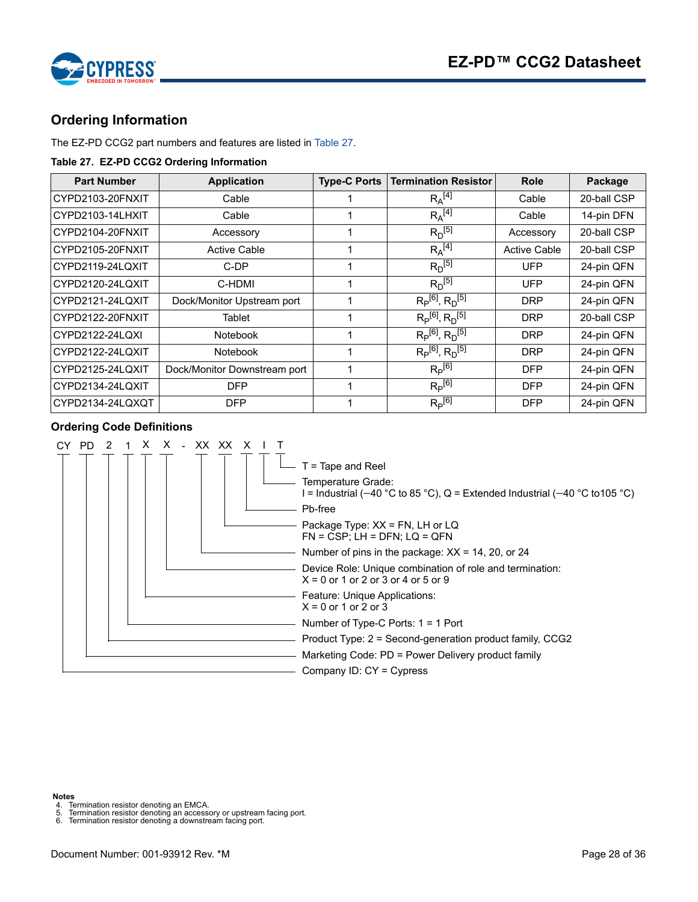

# <span id="page-27-0"></span>**Ordering Information**

The EZ-PD CCG2 part numbers and features are listed in [Table 27.](#page-27-5)

#### <span id="page-27-5"></span>**Table 27. EZ-PD CCG2 Ordering Information**

| <b>Part Number</b> | <b>Application</b>           | <b>Type-C Ports</b> | <b>Termination Resistor</b> | <b>Role</b>         | Package     |
|--------------------|------------------------------|---------------------|-----------------------------|---------------------|-------------|
| CYPD2103-20FNXIT   | Cable                        |                     | $R_A^{[4]}$                 | Cable               | 20-ball CSP |
| CYPD2103-14LHXIT   | Cable                        |                     | $R_A^{[4]}$                 | Cable               | 14-pin DFN  |
| CYPD2104-20FNXIT   | Accessory                    |                     | $R_D^{[5]}$                 | Accessory           | 20-ball CSP |
| CYPD2105-20FNXIT   | <b>Active Cable</b>          |                     | $R_A^{[4]}$                 | <b>Active Cable</b> | 20-ball CSP |
| CYPD2119-24LQXIT   | C-DP                         |                     | $R_D^{[5]}$                 | UFP                 | 24-pin QFN  |
| CYPD2120-24LQXIT   | C-HDMI                       |                     | $R_D^{[5]}$                 | <b>UFP</b>          | 24-pin QFN  |
| CYPD2121-24LQXIT   | Dock/Monitor Upstream port   |                     | $R_P^{[6]}$ , $R_D^{[5]}$   | <b>DRP</b>          | 24-pin QFN  |
| CYPD2122-20FNXIT   | Tablet                       |                     | $R_P^{[6]}, R_D^{[5]}$      | <b>DRP</b>          | 20-ball CSP |
| CYPD2122-24LQXI    | <b>Notebook</b>              |                     | $R_P^{[6]}$ , $R_D^{[5]}$   | <b>DRP</b>          | 24-pin QFN  |
| CYPD2122-24LQXIT   | <b>Notebook</b>              |                     | $R_P^{[6]}$ , $R_D^{[5]}$   | <b>DRP</b>          | 24-pin QFN  |
| CYPD2125-24LQXIT   | Dock/Monitor Downstream port |                     | $R_P^{[6]}$                 | <b>DFP</b>          | 24-pin QFN  |
| CYPD2134-24LQXIT   | <b>DFP</b>                   |                     | $R_P^{[6]}$                 | <b>DFP</b>          | 24-pin QFN  |
| CYPD2134-24LQXQT   | <b>DFP</b>                   |                     | $R_P^{[6]}$                 | <b>DFP</b>          | 24-pin QFN  |

#### <span id="page-27-1"></span>**Ordering Code Definitions**



<span id="page-27-4"></span><span id="page-27-3"></span><span id="page-27-2"></span>

**Notes**<br>4. Te<br>5. Te<br>6. Te 4. Termination resistor denoting an EMCA. 5. Termination resistor denoting an accessory or upstream facing port. 6. Termination resistor denoting a downstream facing port.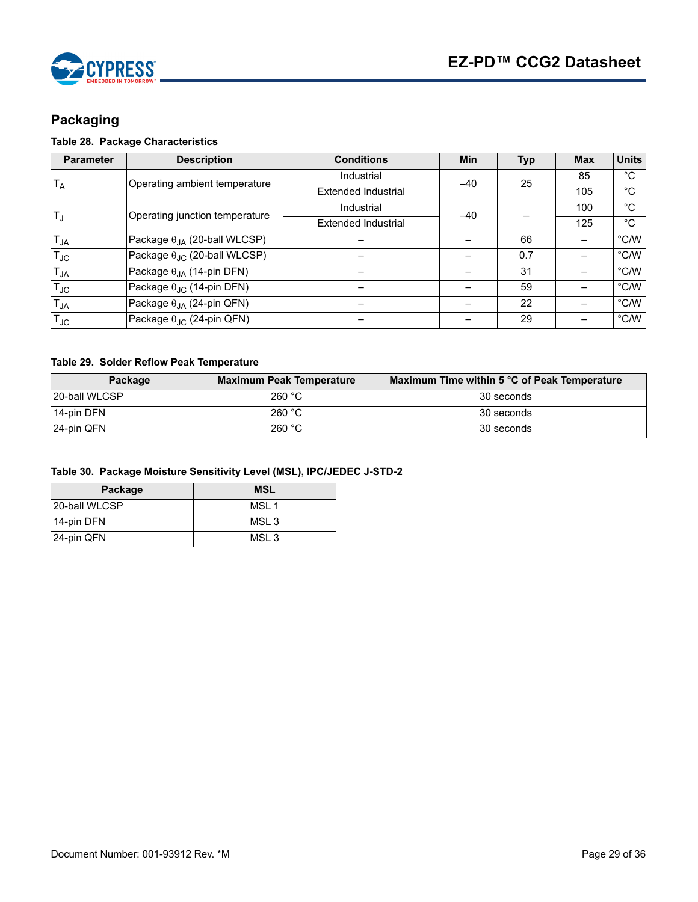

# <span id="page-28-0"></span>**Packaging**

# <span id="page-28-1"></span>**Table 28. Package Characteristics**

| <b>Parameter</b> | <b>Description</b>                        | <b>Conditions</b>   | <b>Min</b> | <b>Typ</b> | <b>Max</b> | <b>Units</b>   |
|------------------|-------------------------------------------|---------------------|------------|------------|------------|----------------|
| $T_A$            | Operating ambient temperature             | Industrial          | $-40$      | 25         | 85         | $^{\circ}C$    |
|                  |                                           | Extended Industrial |            |            | 105        | $^{\circ}$ C   |
|                  | Operating junction temperature            | Industrial          | $-40$      |            | 100        | $^{\circ}C$    |
| $T_{\rm d}$      |                                           | Extended Industrial |            |            | 125        | $^{\circ}C$    |
| $T_{JA}$         | Package $\theta_{JA}$ (20-ball WLCSP)     |                     |            | 66         |            | $\degree$ C/W  |
| $T_{\text{JC}}$  | Package $\theta_{JC}$ (20-ball WLCSP)     |                     |            | 0.7        |            | $\degree$ C/W  |
| $T_{JA}$         | Package $\theta_{JA}$ (14-pin DFN)        |                     |            | 31         |            | $\degree$ C/W  |
| $T_{JC}$         | Package $\theta_{\text{JC}}$ (14-pin DFN) |                     |            | 59         |            | $^{\circ}$ C/W |
| $T_{JA}$         | Package $\theta_{JA}$ (24-pin QFN)        |                     |            | 22         |            | $\degree$ C/W  |
| $T_{JC}$         | Package $\theta_{\text{JC}}$ (24-pin QFN) |                     |            | 29         |            | $\degree$ C/W  |

### **Table 29. Solder Reflow Peak Temperature**

| Package        | <b>Maximum Peak Temperature</b> | Maximum Time within 5 °C of Peak Temperature |
|----------------|---------------------------------|----------------------------------------------|
| 120-ball WLCSP | 260 °C                          | 30 seconds                                   |
| 14-pin DFN     | 260 °C                          | 30 seconds                                   |
| 24-pin QFN     | 260 °C                          | 30 seconds                                   |

|  | Table 30. Package Moisture Sensitivity Level (MSL), IPC/JEDEC J-STD-2 |  |  |  |
|--|-----------------------------------------------------------------------|--|--|--|
|--|-----------------------------------------------------------------------|--|--|--|

| Package        | <b>MSL</b>       |
|----------------|------------------|
| 120-ball WLCSP | MSI 1            |
| 14-pin DFN     | MSL <sub>3</sub> |
| 24-pin QFN     | MSI 3            |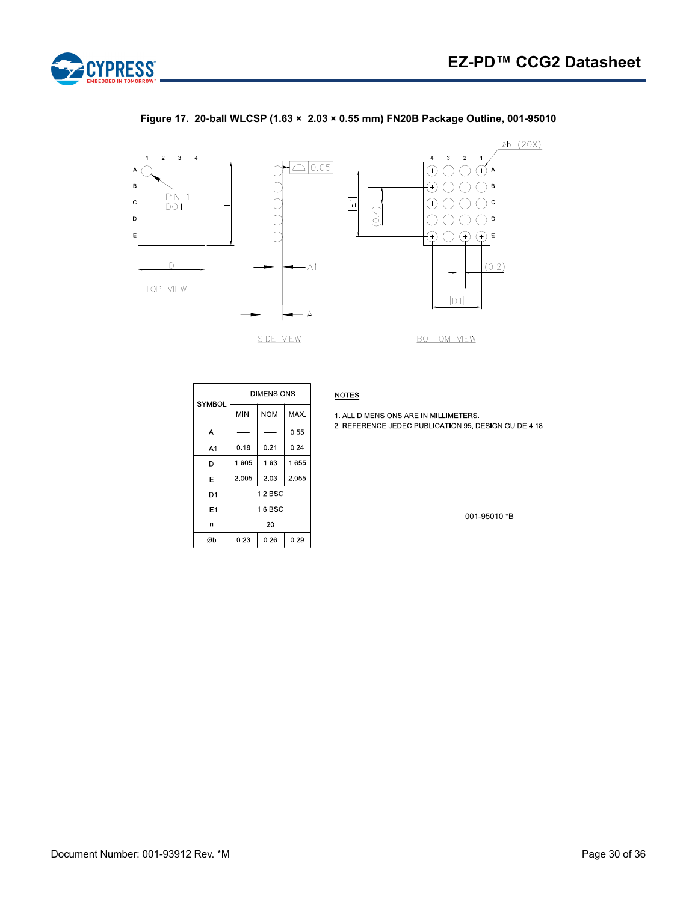<span id="page-29-0"></span>

#### **Figure 17. 20-ball WLCSP (1.63 × 2.03 × 0.55 mm) FN20B Package Outline, 001-95010**



| SYMBOL         | <b>DIMENSIONS</b>      |              |       |  |  |
|----------------|------------------------|--------------|-------|--|--|
|                | NOM.<br>M <sub>N</sub> |              | MAX.  |  |  |
| A              |                        |              |       |  |  |
| A1             | 0.18                   | 0.21         | 0.24  |  |  |
| D              | 1.605                  | 1.63         | 1.655 |  |  |
| E              | 2 0 0 5                | 2.03         | 2.055 |  |  |
| D <sub>1</sub> |                        | $1.2$ BSC    |       |  |  |
| E1             | 1.6 BSC                |              |       |  |  |
| n              | 20                     |              |       |  |  |
| Øb             | 0.23                   | 0.26<br>0.29 |       |  |  |

**NOTES** 

1. ALL DIMENSIONS ARE IN MILLIMETERS.

2. REFERENCE JEDEC PUBLICATION 95, DESIGN GUIDE 4.18

001-95010 \*B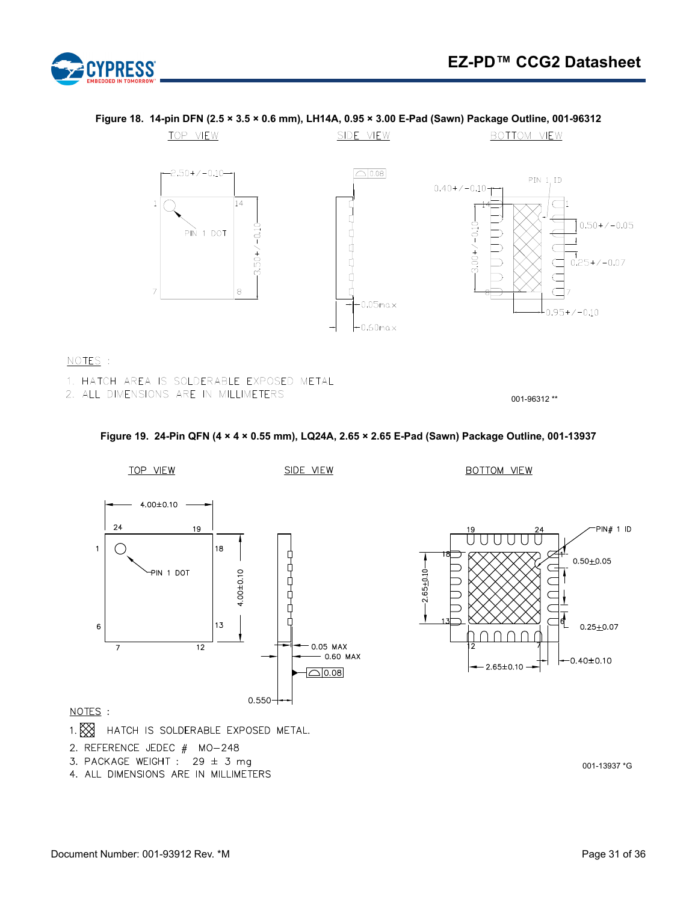

#### TOP VIEW SIDE VIEW BOTTOM VIEW  $-2.50+/-0.10 \boxed{\bigcirc}$  0.08 PIN 1, ID  $0.40+/-0.10$  $\,1\,$  $14$  $0.50+/-0.05$  $3.00+/-0.10$  $3.50+/-0.10$ PIN 1 DOT þ đ  $0.25+/-0.07$ Ľ ٢  $\overline{7}$ 8 Ĕ  $0.05$ max  $0.95 + / -0.10$

 $-0.60$ max

# **Figure 18. 14-pin DFN (2.5 × 3.5 × 0.6 mm), LH14A, 0.95 × 3.00 E-Pad (Sawn) Package Outline, 001-96312**

#### NOTES :

- 1. HATCH AREA IS SOLDERABLE EXPOSED METAL
- 2. ALL DIMENSIONS ARE IN MILLIMETERS

001-96312 \*\*

#### **Figure 19. 24-Pin QFN (4 × 4 × 0.55 mm), LQ24A, 2.65 × 2.65 E-Pad (Sawn) Package Outline, 001-13937**

<span id="page-30-0"></span>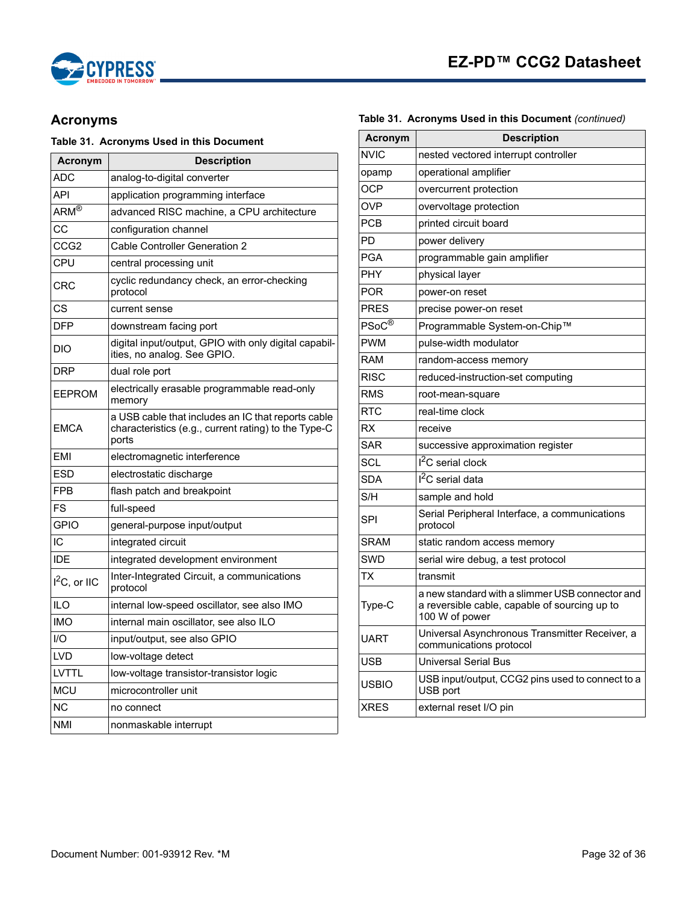



# <span id="page-31-0"></span>**Acronyms**

#### **Table 31. Acronyms Used in this Document**

| Acronym           | <b>Description</b>                                                                                                  |
|-------------------|---------------------------------------------------------------------------------------------------------------------|
| ADC               | analog-to-digital converter                                                                                         |
| API               | application programming interface                                                                                   |
| $ARM^{\circledR}$ | advanced RISC machine, a CPU architecture                                                                           |
| СC                | configuration channel                                                                                               |
| CCG <sub>2</sub>  | <b>Cable Controller Generation 2</b>                                                                                |
| CPU               | central processing unit                                                                                             |
| CRC               | cyclic redundancy check, an error-checking<br>protocol                                                              |
| CS                | current sense                                                                                                       |
| DFP               | downstream facing port                                                                                              |
| DIO               | digital input/output, GPIO with only digital capabil-<br>ities, no analog. See GPIO.                                |
| DRP               | dual role port                                                                                                      |
| EEPROM            | electrically erasable programmable read-only<br>memory                                                              |
| <b>EMCA</b>       | a USB cable that includes an IC that reports cable<br>characteristics (e.g., current rating) to the Type-C<br>ports |
| EMI               | electromagnetic interference                                                                                        |
| ESD               | electrostatic discharge                                                                                             |
| <b>FPB</b>        | flash patch and breakpoint                                                                                          |
| FS                | full-speed                                                                                                          |
| <b>GPIO</b>       | general-purpose input/output                                                                                        |
| IC                | integrated circuit                                                                                                  |
| IDE               | integrated development environment                                                                                  |
| $I^2C$ , or IIC   | Inter-Integrated Circuit, a communications<br>protocol                                                              |
| ILO               | internal low-speed oscillator, see also IMO                                                                         |
| <b>IMO</b>        | internal main oscillator, see also ILO                                                                              |
| I/O               | input/output, see also GPIO                                                                                         |
| <b>LVD</b>        | low-voltage detect                                                                                                  |
| LVTTL             | low-voltage transistor-transistor logic                                                                             |
| <b>MCU</b>        | microcontroller unit                                                                                                |
| N <sub>C</sub>    | no connect                                                                                                          |
| <b>NMI</b>        | nonmaskable interrupt                                                                                               |

| <b>Acronym</b>              | <b>Description</b>                                                                                                 |  |  |  |
|-----------------------------|--------------------------------------------------------------------------------------------------------------------|--|--|--|
| <b>NVIC</b>                 | nested vectored interrupt controller                                                                               |  |  |  |
| opamp                       | operational amplifier                                                                                              |  |  |  |
| OCP                         | overcurrent protection                                                                                             |  |  |  |
| <b>OVP</b>                  | overvoltage protection                                                                                             |  |  |  |
| <b>PCB</b>                  | printed circuit board                                                                                              |  |  |  |
| PD                          | power delivery                                                                                                     |  |  |  |
| PGA                         | programmable gain amplifier                                                                                        |  |  |  |
| PHY                         | physical layer                                                                                                     |  |  |  |
| POR                         | power-on reset                                                                                                     |  |  |  |
| <b>PRES</b>                 | precise power-on reset                                                                                             |  |  |  |
| $PSoC^{\overline{\otimes}}$ | Programmable System-on-Chip™                                                                                       |  |  |  |
| <b>PWM</b>                  | pulse-width modulator                                                                                              |  |  |  |
| RAM                         | random-access memory                                                                                               |  |  |  |
| <b>RISC</b>                 | reduced-instruction-set computing                                                                                  |  |  |  |
| <b>RMS</b>                  | root-mean-square                                                                                                   |  |  |  |
| <b>RTC</b>                  | real-time clock                                                                                                    |  |  |  |
| <b>RX</b>                   | receive                                                                                                            |  |  |  |
| SAR                         | successive approximation register                                                                                  |  |  |  |
| SCL                         | I <sup>2</sup> C serial clock                                                                                      |  |  |  |
| <b>SDA</b>                  | I <sup>2</sup> C serial data                                                                                       |  |  |  |
| S/H                         | sample and hold                                                                                                    |  |  |  |
| SPI                         | Serial Peripheral Interface, a communications<br>protocol                                                          |  |  |  |
| <b>SRAM</b>                 | static random access memory                                                                                        |  |  |  |
| SWD                         | serial wire debug, a test protocol                                                                                 |  |  |  |
| ТX                          | transmit                                                                                                           |  |  |  |
| Type-C                      | a new standard with a slimmer USB connector and<br>a reversible cable, capable of sourcing up to<br>100 W of power |  |  |  |
| UART                        | Universal Asynchronous Transmitter Receiver, a<br>communications protocol                                          |  |  |  |
| USB                         | Universal Serial Bus                                                                                               |  |  |  |
| USBIO                       | USB input/output, CCG2 pins used to connect to a<br>USB port                                                       |  |  |  |
| <b>XRES</b>                 | external reset I/O pin                                                                                             |  |  |  |

#### **Table 31. Acronyms Used in this Document** *(continued)*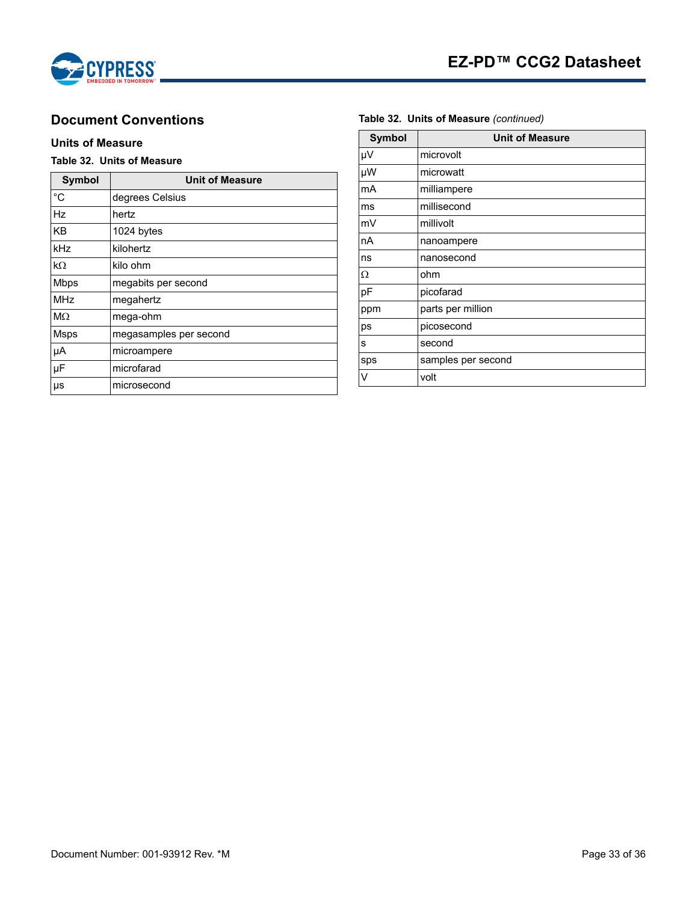

# <span id="page-32-0"></span>**Document Conventions**

#### <span id="page-32-1"></span>**Units of Measure**

### **Table 32. Units of Measure**

| <b>Symbol</b> | <b>Unit of Measure</b> |  |  |
|---------------|------------------------|--|--|
| $^{\circ}C$   | degrees Celsius        |  |  |
| Hz            | hertz                  |  |  |
| KB            | 1024 bytes             |  |  |
| kHz           | kilohertz              |  |  |
| kΩ            | kilo ohm               |  |  |
| <b>Mbps</b>   | megabits per second    |  |  |
| <b>MHz</b>    | megahertz              |  |  |
| $M\Omega$     | mega-ohm               |  |  |
| <b>Msps</b>   | megasamples per second |  |  |
| μA            | microampere            |  |  |
| μF            | microfarad             |  |  |
| $\mu s$       | microsecond            |  |  |

| <b>Symbol</b> | <b>Unit of Measure</b> |  |  |
|---------------|------------------------|--|--|
| μV            | microvolt              |  |  |
| μW            | microwatt              |  |  |
| mA            | milliampere            |  |  |
| ms            | millisecond            |  |  |
| mV            | millivolt              |  |  |
| nA            | nanoampere             |  |  |
| ns            | nanosecond             |  |  |
| Ω             | ohm                    |  |  |
| pF            | picofarad              |  |  |
| ppm           | parts per million      |  |  |
| ps            | picosecond             |  |  |
| s             | second                 |  |  |
| sps           | samples per second     |  |  |
| v             | volt                   |  |  |

#### **Table 32. Units of Measure** *(continued)*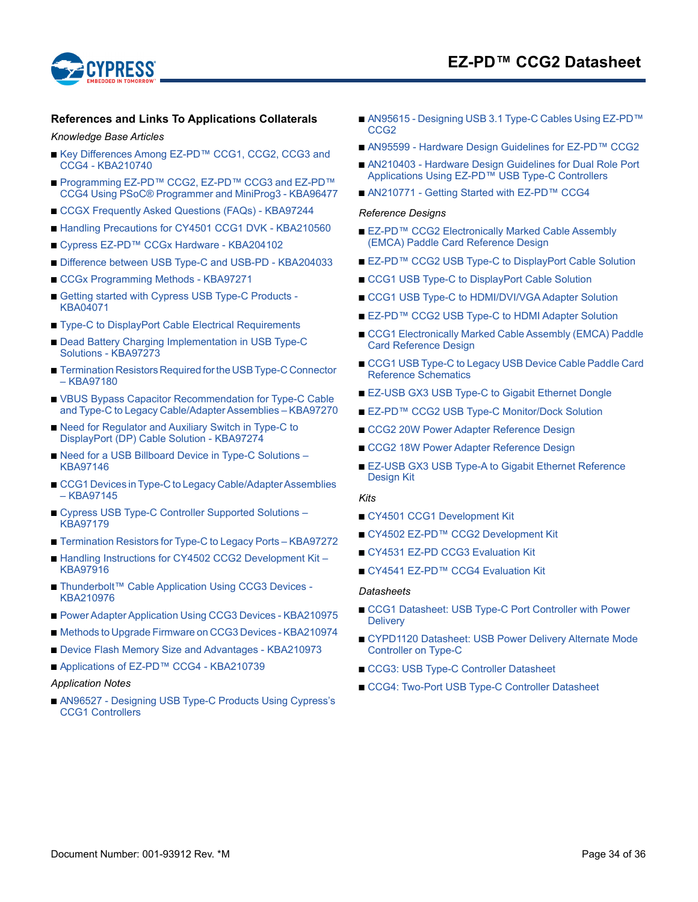

# **EZ-PD™ CCG2 Datasheet**

#### <span id="page-33-0"></span>**References and Links To Applications Collaterals**

#### *Knowledge Base Articles*

- Key Differences Among EZ-PD™ CCG1, CCG2, CCG3 and CCG4 - KBA210740
- Programming EZ-PD™ CCG2, EZ-PD™ CCG3 and EZ-PD™ CCG4 Using PSoC® Programmer and MiniProg3 - KBA96477
- [CCGX Frequently Asked Questions \(FAQs\) KBA97244](http://www.cypress.com/knowledge-base-article/ccgx-frequently-asked-questions-faqs-kba97244?source=search&cat=technical_documents)
- [Handling Precautions for CY4501 CCG1 DVK KBA210560](http://www.cypress.com/knowledge-base-article/handling-precautions-cy4501-ccg1-dvk-kba210560?source=search&cat=technical_documents)
- [Cypress EZ-PD™ CCGx Hardware KBA204102](http://www.cypress.com/knowledge-base-article/cypress-ez-pd-ccgx-hardware-kba204102?source=search&cat=technical_documents)
- [Difference between USB Type-C and USB-PD KBA204033](http://www.cypress.com/knowledge-base-article/difference-between-usb-type-c-and-usb-pd-kba204033?source=search&cat=technical_documents)
- [CCGx Programming Methods KBA97271](http://www.cypress.com/knowledge-base-article/ccgx-programming-methods-kba97271?source=search&cat=technical_documents)
- Getting started with Cypress USB Type-C Products -KBA04071
- [Type-C to DisplayPort Cable Electrical Requirements](http://www.cypress.com/knowledge-base-article/type-c-displayport-cable-electrical-requirements?source=search&cat=technical_documents)
- Dead Battery Charging Implementation in USB Type-C Solutions - KBA97273
- Termination Resistors Required for the USB Type-C Connector – KBA97180
- VBUS Bypass Capacitor Recommendation for Type-C Cable [and Type-C to Legacy Cable/Adapter Assemblies – KBA97270](http://www.cypress.com/knowledge-base-article/vbus-bypass-capacitor-recommendation-type-c-cable-and-type-c-legacy?source=search&cat=technical_documents)
- Need for Regulator and Auxiliary Switch in Type-C to DisplayPort (DP) Cable Solution - KBA97274
- Need for a USB Billboard Device in Type-C Solutions KBA97146
- CCG1 Devices in Type-C to Legacy Cable/Adapter Assemblies – KBA97145
- Cypress USB Type-C Controller Supported Solutions KBA97179
- [Termination Resistors for Type-C to Legacy Ports KBA97272](http://www.cypress.com/knowledge-base-article/termination-resistors-type-c-legacy-ports-kba97272?source=search&cat=technical_documents)
- Handling Instructions for CY4502 CCG2 Development Kit KBA97916
- Thunderbolt<sup>™</sup> Cable Application Using CCG3 Devices -KBA210976
- [Power Adapter Application Using CCG3 Devices KBA210975](http://www.cypress.com/knowledge-base-article/power-adapter-application-using-ccg3-devices-kba210975?source=search&cat=technical_documents)
- [Methods to Upgrade Firmware on CCG3 Devices KBA210974](http://www.cypress.com/knowledge-base-article/methods-upgrade-firmware-ccg3-devices-kba210974?source=search&cat=technical_documents)
- [Device Flash Memory Size and Advantages KBA210973](http://www.cypress.com/knowledge-base-article/ccg3-device-flash-memory-size-and-advantages-kba210973?source=search&cat=technical_documents)
- [Applications of EZ-PD™ CCG4 KBA210739](http://www.cypress.com/knowledge-base-article/applications-ez-pd-ccg4-kba210739?source=search&cat=technical_documents)

#### *Application Notes*

■ AN96527 - Designing USB Type-C Products Using Cypress's CCG1 Controllers

- AN95615 Designing USB 3.1 Type-C Cables Using EZ-PD™ CCG2
- [AN95599 Hardware Design Guidelines for EZ-PD™ CCG2](http://www.cypress.com/documentation/application-notes/an95599-hardware-design-guidelines-ez-pd-ccg2?source=search&cat=technical_documents)
- AN210403 Hardware Design Guidelines for Dual Role Port Applications Using EZ-PD™ USB Type-C Controllers
- [AN210771 Getting Started with EZ-PD™ CCG4](http://www.cypress.com/documentation/application-notes/an210771-getting-started-ez-pd-ccg4?source=search&cat=technical_documents)

#### *Reference Designs*

- EZ-PD™ CCG2 Electronically Marked Cable Assembly (EMCA) Paddle Card Reference Design
- [EZ-PD™ CCG2 USB Type-C to DisplayPort Cable Solution](http://www.cypress.com/documentation/reference-designs/ez-pd-ccg2-usb-type-c-displayport-cable-solution?source=search&cat=software_tools)
- [CCG1 USB Type-C to DisplayPort Cable Solution](http://www.cypress.com/documentation/reference-designs/ccg1-usb-type-c-displayport-cable-solution?source=search&cat=software_tools)
- [CCG1 USB Type-C to HDMI/DVI/VGA Adapter Solution](http://www.cypress.com/documentation/reference-designs/ccg1-usb-type-c-hdmidvivga-adapter-solution?source=search&cat=software_tools)
- [EZ-PD™ CCG2 USB Type-C to HDMI Adapter Solution](http://www.cypress.com/documentation/reference-designs/ez-pd-ccg2-usb-type-c-hdmi-adapter-solution?source=search&cat=software_tools)
- CCG1 Electronically Marked Cable Assembly (EMCA) Paddle Card Reference Design
- CCG1 USB Type-C to Legacy USB Device Cable Paddle Card Reference Schematics
- [EZ-USB GX3 USB Type-C to Gigabit Ethernet Dongle](http://www.cypress.com/documentation/reference-designs/type-c-gigabit-ethernet-dongle?source=search&cat=software_tools)
- [EZ-PD™ CCG2 USB Type-C Monitor/Dock Solution](http://www.cypress.com/documentation/reference-designs/ez-pd-ccg2-usb-type-c-monitordock-solution?source=search&cat=software_tools)
- [CCG2 20W Power Adapter Reference Design](http://www.cypress.com/documentation/reference-designs/ccg2-20w-power-adapter-reference-design?source=search&cat=software_tools)
- [CCG2 18W Power Adapter Reference Design](http://www.cypress.com/documentation/reference-designs/ccg2-18w-power-adapter-reference-design?source=search&cat=software_tools)
- EZ-USB GX3 USB Type-A to Gigabit Ethernet Reference Design Kit

#### *Kits*

- [CY4501 CCG1 Development Kit](http://www.cypress.com/documentation/development-kitsboards/cy4501-ccg1-development-kit)
- CY4502 EZ-PD™ CCG2 Development Kit
- [CY4531 EZ-PD CCG3 Evaluation Kit](http://www.cypress.com/documentation/development-kitsboards/cy4531-ez-pd-ccg3-evaluation-kit)
- [CY4541 EZ-PD™ CCG4 Evaluation Kit](http://www.cypress.com/documentation/development-kitsboards/cy4541-ez-pd-ccg4-development-kit)

#### *Datasheets*

- CCG1 Datasheet: USB Type-C Port Controller with Power **Delivery**
- CYPD1120 Datasheet: USB Power Delivery Alternate Mode Controller on Type-C
- [CCG3: USB Type-C Controller Datasheet](http://www.cypress.com/ccg3datasheet)
- [CCG4: Two-Port USB Type-C Controller Datasheet](http://www.cypress.com/node/423701)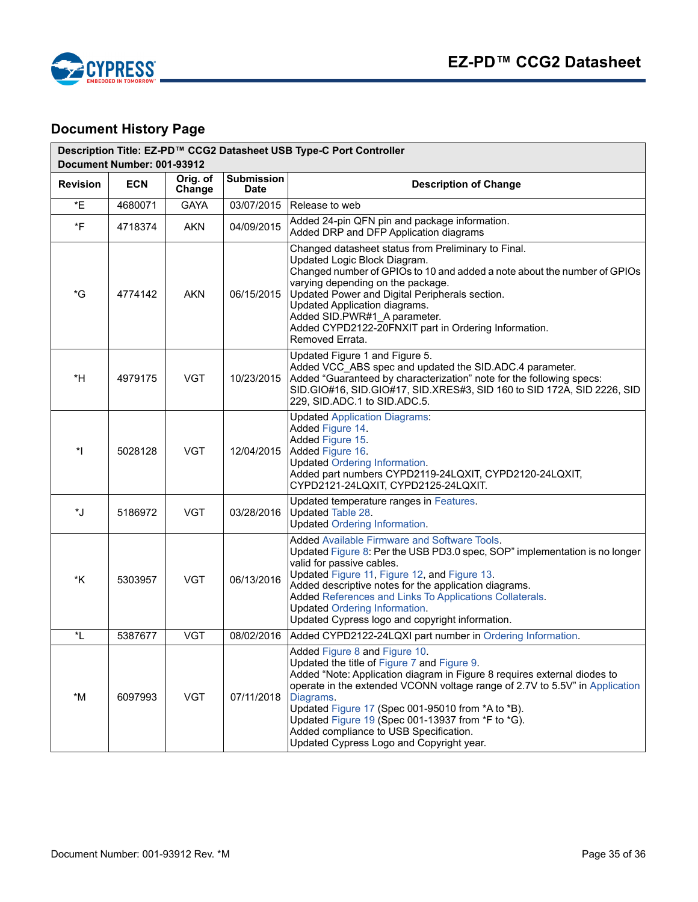

# <span id="page-34-0"></span>**Document History Page**

| Description Title: EZ-PD™ CCG2 Datasheet USB Type-C Port Controller<br>Document Number: 001-93912 |            |                    |                                  |                                                                                                                                                                                                                                                                                                                                                                                                                                                      |  |  |
|---------------------------------------------------------------------------------------------------|------------|--------------------|----------------------------------|------------------------------------------------------------------------------------------------------------------------------------------------------------------------------------------------------------------------------------------------------------------------------------------------------------------------------------------------------------------------------------------------------------------------------------------------------|--|--|
| <b>Revision</b>                                                                                   | <b>ECN</b> | Orig. of<br>Change | <b>Submission</b><br><b>Date</b> | <b>Description of Change</b>                                                                                                                                                                                                                                                                                                                                                                                                                         |  |  |
| *E                                                                                                | 4680071    | <b>GAYA</b>        | 03/07/2015                       | Release to web                                                                                                                                                                                                                                                                                                                                                                                                                                       |  |  |
| *F                                                                                                | 4718374    | AKN                | 04/09/2015                       | Added 24-pin QFN pin and package information.<br>Added DRP and DFP Application diagrams                                                                                                                                                                                                                                                                                                                                                              |  |  |
| *G                                                                                                | 4774142    | <b>AKN</b>         | 06/15/2015                       | Changed datasheet status from Preliminary to Final.<br>Updated Logic Block Diagram.<br>Changed number of GPIOs to 10 and added a note about the number of GPIOs<br>varying depending on the package.<br>Updated Power and Digital Peripherals section.<br>Updated Application diagrams.<br>Added SID.PWR#1_A parameter.<br>Added CYPD2122-20FNXIT part in Ordering Information.<br>Removed Errata.                                                   |  |  |
| *H                                                                                                | 4979175    | <b>VGT</b>         | 10/23/2015                       | Updated Figure 1 and Figure 5.<br>Added VCC_ABS spec and updated the SID.ADC.4 parameter.<br>Added "Guaranteed by characterization" note for the following specs:<br>SID.GIO#16, SID.GIO#17, SID.XRES#3, SID 160 to SID 172A, SID 2226, SID<br>229, SID.ADC.1 to SID.ADC.5.                                                                                                                                                                          |  |  |
| $^*$                                                                                              | 5028128    | <b>VGT</b>         | 12/04/2015                       | <b>Updated Application Diagrams:</b><br>Added Figure 14.<br>Added Figure 15.<br>Added Figure 16.<br><b>Updated Ordering Information.</b><br>Added part numbers CYPD2119-24LQXIT, CYPD2120-24LQXIT,<br>CYPD2121-24LQXIT, CYPD2125-24LQXIT.                                                                                                                                                                                                            |  |  |
| *J                                                                                                | 5186972    | <b>VGT</b>         | 03/28/2016                       | Updated temperature ranges in Features.<br>Updated Table 28.<br><b>Updated Ordering Information.</b>                                                                                                                                                                                                                                                                                                                                                 |  |  |
| *K                                                                                                | 5303957    | <b>VGT</b>         | 06/13/2016                       | Added Available Firmware and Software Tools.<br>Updated Figure 8: Per the USB PD3.0 spec, SOP" implementation is no longer<br>valid for passive cables.<br>Updated Figure 11, Figure 12, and Figure 13.<br>Added descriptive notes for the application diagrams.<br>Added References and Links To Applications Collaterals.<br><b>Updated Ordering Information.</b><br>Updated Cypress logo and copyright information.                               |  |  |
| *L                                                                                                | 5387677    | <b>VGT</b>         | 08/02/2016                       | Added CYPD2122-24LQXI part number in Ordering Information.                                                                                                                                                                                                                                                                                                                                                                                           |  |  |
| *M                                                                                                | 6097993    | <b>VGT</b>         | 07/11/2018                       | Added Figure 8 and Figure 10.<br>Updated the title of Figure 7 and Figure 9.<br>Added "Note: Application diagram in Figure 8 requires external diodes to<br>operate in the extended VCONN voltage range of 2.7V to 5.5V" in Application<br>Diagrams.<br>Updated Figure 17 (Spec 001-95010 from *A to *B).<br>Updated Figure 19 (Spec 001-13937 from *F to *G).<br>Added compliance to USB Specification.<br>Updated Cypress Logo and Copyright year. |  |  |